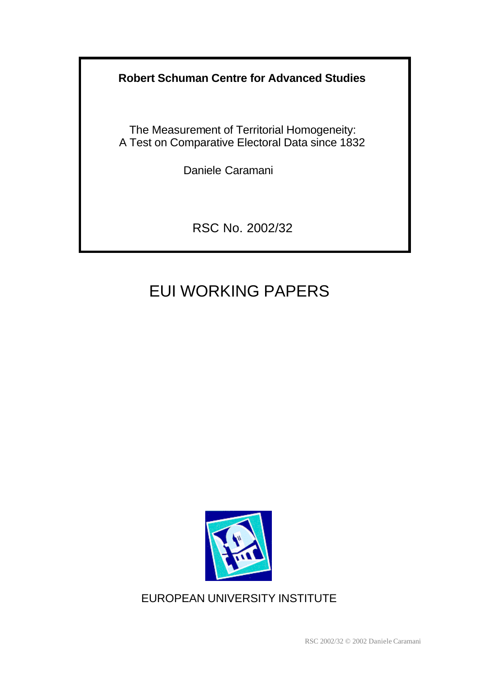**Robert Schuman Centre for Advanced Studies**

The Measurement of Territorial Homogeneity: A Test on Comparative Electoral Data since 1832

Daniele Caramani

RSC No. 2002/32

# EUI WORKING PAPERS



EUROPEAN UNIVERSITY INSTITUTE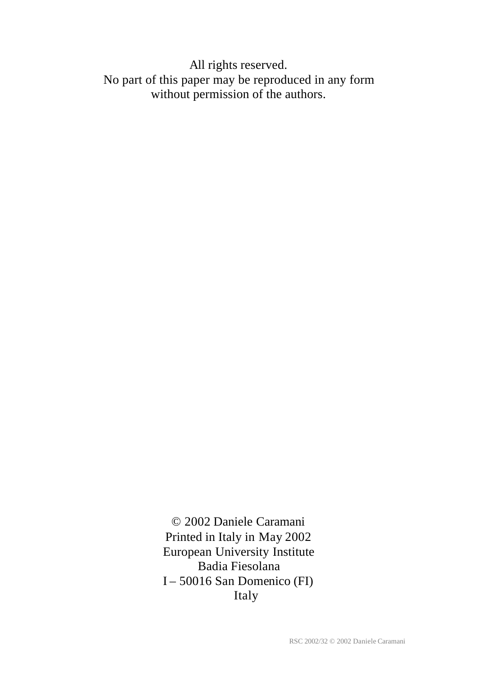All rights reserved. No part of this paper may be reproduced in any form without permission of the authors.

> © 2002 Daniele Caramani Printed in Italy in May 2002 European University Institute Badia Fiesolana I – 50016 San Domenico (FI) Italy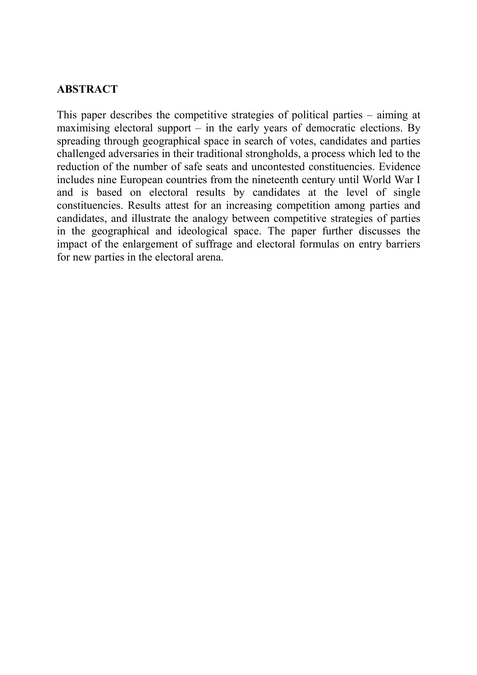# **ABSTRACT**

This paper describes the competitive strategies of political parties – aiming at maximising electoral support  $-$  in the early years of democratic elections. By spreading through geographical space in search of votes, candidates and parties challenged adversaries in their traditional strongholds, a process which led to the reduction of the number of safe seats and uncontested constituencies. Evidence includes nine European countries from the nineteenth century until World War I and is based on electoral results by candidates at the level of single constituencies. Results attest for an increasing competition among parties and candidates, and illustrate the analogy between competitive strategies of parties in the geographical and ideological space. The paper further discusses the impact of the enlargement of suffrage and electoral formulas on entry barriers for new parties in the electoral arena.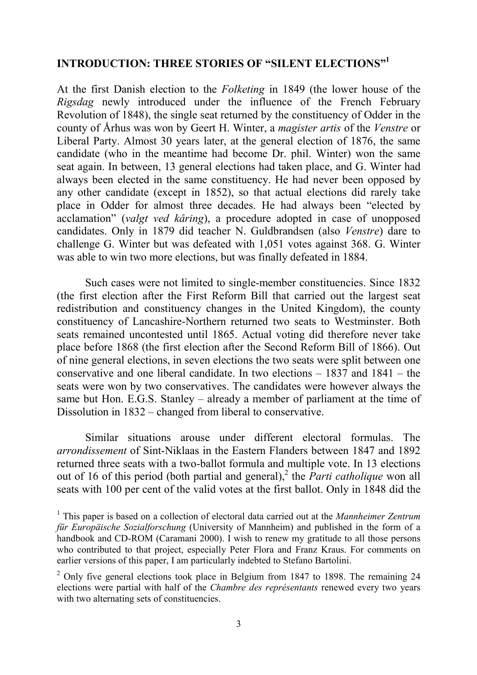# **INTRODUCTION: THREE STORIES OF "SILENT ELECTIONS"1**

At the first Danish election to the *Folketing* in 1849 (the lower house of the *Rigsdag* newly introduced under the influence of the French February Revolution of 1848), the single seat returned by the constituency of Odder in the county of Århus was won by Geert H. Winter, a *magister artis* of the *Venstre* or Liberal Party. Almost 30 years later, at the general election of 1876, the same candidate (who in the meantime had become Dr. phil. Winter) won the same seat again. In between, 13 general elections had taken place, and G. Winter had always been elected in the same constituency. He had never been opposed by any other candidate (except in 1852), so that actual elections did rarely take place in Odder for almost three decades. He had always been "elected by acclamation" (*valgt ved kåring*), a procedure adopted in case of unopposed candidates. Only in 1879 did teacher N. Guldbrandsen (also *Venstre*) dare to challenge G. Winter but was defeated with 1,051 votes against 368. G. Winter was able to win two more elections, but was finally defeated in 1884.

Such cases were not limited to single-member constituencies. Since 1832 (the first election after the First Reform Bill that carried out the largest seat redistribution and constituency changes in the United Kingdom), the county constituency of Lancashire-Northern returned two seats to Westminster. Both seats remained uncontested until 1865. Actual voting did therefore never take place before 1868 (the first election after the Second Reform Bill of 1866). Out of nine general elections, in seven elections the two seats were split between one conservative and one liberal candidate. In two elections – 1837 and 1841 – the seats were won by two conservatives. The candidates were however always the same but Hon. E.G.S. Stanley – already a member of parliament at the time of Dissolution in 1832 – changed from liberal to conservative.

Similar situations arouse under different electoral formulas. The *arrondissement* of Sint-Niklaas in the Eastern Flanders between 1847 and 1892 returned three seats with a two-ballot formula and multiple vote. In 13 elections out of 16 of this period (both partial and general),<sup>2</sup> the *Parti catholique* won all seats with 100 per cent of the valid votes at the first ballot. Only in 1848 did the

<sup>1</sup> This paper is based on a collection of electoral data carried out at the *Mannheimer Zentrum für Europäische Sozialforschung* (University of Mannheim) and published in the form of a handbook and CD-ROM (Caramani 2000). I wish to renew my gratitude to all those persons who contributed to that project, especially Peter Flora and Franz Kraus. For comments on earlier versions of this paper, I am particularly indebted to Stefano Bartolini.

 $2$  Only five general elections took place in Belgium from 1847 to 1898. The remaining 24 elections were partial with half of the *Chambre des représentants* renewed every two years with two alternating sets of constituencies.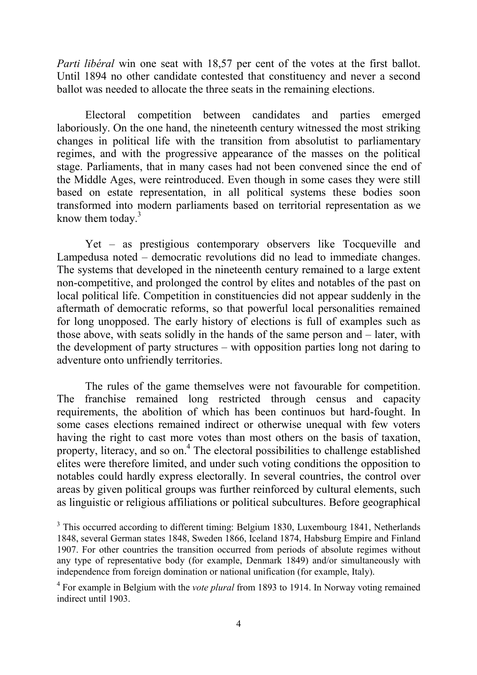*Parti libéral* win one seat with 18,57 per cent of the votes at the first ballot. Until 1894 no other candidate contested that constituency and never a second ballot was needed to allocate the three seats in the remaining elections.

Electoral competition between candidates and parties emerged laboriously. On the one hand, the nineteenth century witnessed the most striking changes in political life with the transition from absolutist to parliamentary regimes, and with the progressive appearance of the masses on the political stage. Parliaments, that in many cases had not been convened since the end of the Middle Ages, were reintroduced. Even though in some cases they were still based on estate representation, in all political systems these bodies soon transformed into modern parliaments based on territorial representation as we know them today. $3$ 

Yet – as prestigious contemporary observers like Tocqueville and Lampedusa noted – democratic revolutions did no lead to immediate changes. The systems that developed in the nineteenth century remained to a large extent non-competitive, and prolonged the control by elites and notables of the past on local political life. Competition in constituencies did not appear suddenly in the aftermath of democratic reforms, so that powerful local personalities remained for long unopposed. The early history of elections is full of examples such as those above, with seats solidly in the hands of the same person and – later, with the development of party structures – with opposition parties long not daring to adventure onto unfriendly territories.

The rules of the game themselves were not favourable for competition. The franchise remained long restricted through census and capacity requirements, the abolition of which has been continuos but hard-fought. In some cases elections remained indirect or otherwise unequal with few voters having the right to cast more votes than most others on the basis of taxation, property, literacy, and so on.<sup>4</sup> The electoral possibilities to challenge established elites were therefore limited, and under such voting conditions the opposition to notables could hardly express electorally. In several countries, the control over areas by given political groups was further reinforced by cultural elements, such as linguistic or religious affiliations or political subcultures. Before geographical

<sup>&</sup>lt;sup>3</sup> This occurred according to different timing: Belgium 1830, Luxembourg 1841, Netherlands 1848, several German states 1848, Sweden 1866, Iceland 1874, Habsburg Empire and Finland 1907. For other countries the transition occurred from periods of absolute regimes without any type of representative body (for example, Denmark 1849) and/or simultaneously with independence from foreign domination or national unification (for example, Italy).

<sup>4</sup> For example in Belgium with the *vote plural* from 1893 to 1914. In Norway voting remained indirect until 1903.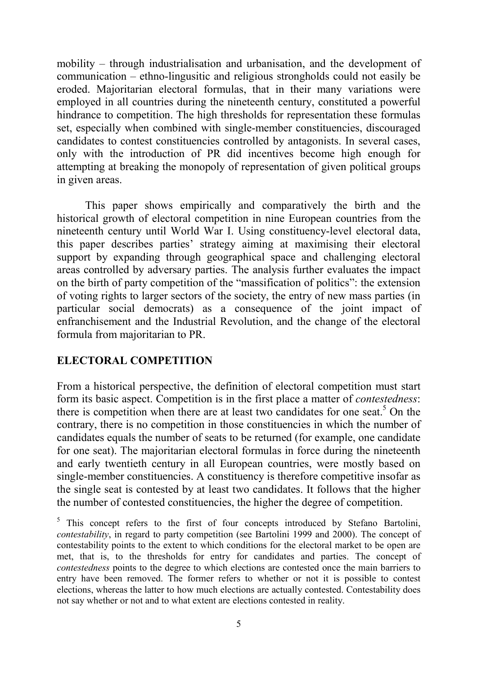mobility – through industrialisation and urbanisation, and the development of communication – ethno-lingusitic and religious strongholds could not easily be eroded. Majoritarian electoral formulas, that in their many variations were employed in all countries during the nineteenth century, constituted a powerful hindrance to competition. The high thresholds for representation these formulas set, especially when combined with single-member constituencies, discouraged candidates to contest constituencies controlled by antagonists. In several cases, only with the introduction of PR did incentives become high enough for attempting at breaking the monopoly of representation of given political groups in given areas.

This paper shows empirically and comparatively the birth and the historical growth of electoral competition in nine European countries from the nineteenth century until World War I. Using constituency-level electoral data, this paper describes parties' strategy aiming at maximising their electoral support by expanding through geographical space and challenging electoral areas controlled by adversary parties. The analysis further evaluates the impact on the birth of party competition of the "massification of politics": the extension of voting rights to larger sectors of the society, the entry of new mass parties (in particular social democrats) as a consequence of the joint impact of enfranchisement and the Industrial Revolution, and the change of the electoral formula from majoritarian to PR.

# **ELECTORAL COMPETITION**

From a historical perspective, the definition of electoral competition must start form its basic aspect. Competition is in the first place a matter of *contestedness*: there is competition when there are at least two candidates for one seat.<sup>5</sup> On the contrary, there is no competition in those constituencies in which the number of candidates equals the number of seats to be returned (for example, one candidate for one seat). The majoritarian electoral formulas in force during the nineteenth and early twentieth century in all European countries, were mostly based on single-member constituencies. A constituency is therefore competitive insofar as the single seat is contested by at least two candidates. It follows that the higher the number of contested constituencies, the higher the degree of competition.

<sup>5</sup> This concept refers to the first of four concepts introduced by Stefano Bartolini, *contestability*, in regard to party competition (see Bartolini 1999 and 2000). The concept of contestability points to the extent to which conditions for the electoral market to be open are met, that is, to the thresholds for entry for candidates and parties. The concept of *contestedness* points to the degree to which elections are contested once the main barriers to entry have been removed. The former refers to whether or not it is possible to contest elections, whereas the latter to how much elections are actually contested. Contestability does not say whether or not and to what extent are elections contested in reality.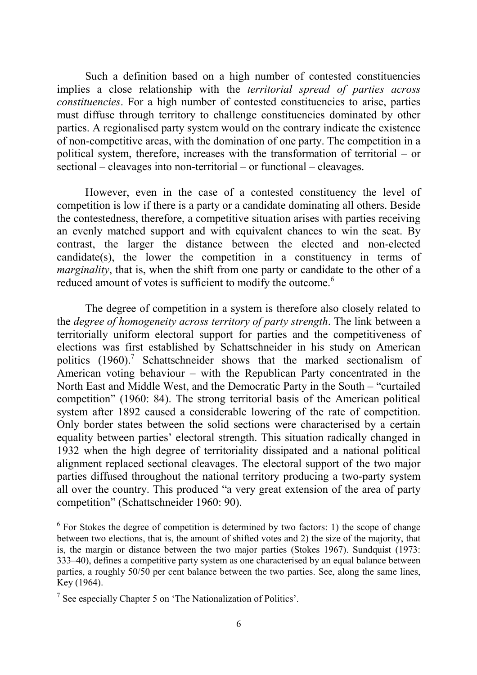Such a definition based on a high number of contested constituencies implies a close relationship with the *territorial spread of parties across constituencies*. For a high number of contested constituencies to arise, parties must diffuse through territory to challenge constituencies dominated by other parties. A regionalised party system would on the contrary indicate the existence of non-competitive areas, with the domination of one party. The competition in a political system, therefore, increases with the transformation of territorial – or sectional – cleavages into non-territorial – or functional – cleavages.

However, even in the case of a contested constituency the level of competition is low if there is a party or a candidate dominating all others. Beside the contestedness, therefore, a competitive situation arises with parties receiving an evenly matched support and with equivalent chances to win the seat. By contrast, the larger the distance between the elected and non-elected candidate(s), the lower the competition in a constituency in terms of *marginality*, that is, when the shift from one party or candidate to the other of a reduced amount of votes is sufficient to modify the outcome.<sup>6</sup>

The degree of competition in a system is therefore also closely related to the *degree of homogeneity across territory of party strength*. The link between a territorially uniform electoral support for parties and the competitiveness of elections was first established by Schattschneider in his study on American politics (1960).<sup>7</sup> Schattschneider shows that the marked sectionalism of American voting behaviour – with the Republican Party concentrated in the North East and Middle West, and the Democratic Party in the South – "curtailed competition" (1960: 84). The strong territorial basis of the American political system after 1892 caused a considerable lowering of the rate of competition. Only border states between the solid sections were characterised by a certain equality between parties' electoral strength. This situation radically changed in 1932 when the high degree of territoriality dissipated and a national political alignment replaced sectional cleavages. The electoral support of the two major parties diffused throughout the national territory producing a two-party system all over the country. This produced "a very great extension of the area of party competition" (Schattschneider 1960: 90).

 $6$  For Stokes the degree of competition is determined by two factors: 1) the scope of change between two elections, that is, the amount of shifted votes and 2) the size of the majority, that is, the margin or distance between the two major parties (Stokes 1967). Sundquist (1973: 333–40), defines a competitive party system as one characterised by an equal balance between parties, a roughly 50/50 per cent balance between the two parties. See, along the same lines, Key (1964).

<sup>7</sup> See especially Chapter 5 on 'The Nationalization of Politics'.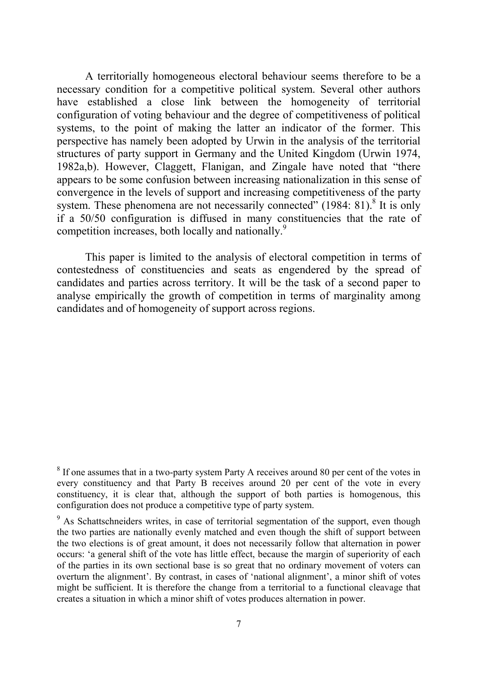A territorially homogeneous electoral behaviour seems therefore to be a necessary condition for a competitive political system. Several other authors have established a close link between the homogeneity of territorial configuration of voting behaviour and the degree of competitiveness of political systems, to the point of making the latter an indicator of the former. This perspective has namely been adopted by Urwin in the analysis of the territorial structures of party support in Germany and the United Kingdom (Urwin 1974, 1982a,b). However, Claggett, Flanigan, and Zingale have noted that "there appears to be some confusion between increasing nationalization in this sense of convergence in the levels of support and increasing competitiveness of the party system. These phenomena are not necessarily connected"  $(1984: 81)$ .<sup>8</sup> It is only if a 50/50 configuration is diffused in many constituencies that the rate of competition increases, both locally and nationally.<sup>9</sup>

This paper is limited to the analysis of electoral competition in terms of contestedness of constituencies and seats as engendered by the spread of candidates and parties across territory. It will be the task of a second paper to analyse empirically the growth of competition in terms of marginality among candidates and of homogeneity of support across regions.

<sup>&</sup>lt;sup>8</sup> If one assumes that in a two-party system Party A receives around 80 per cent of the votes in every constituency and that Party B receives around 20 per cent of the vote in every constituency, it is clear that, although the support of both parties is homogenous, this configuration does not produce a competitive type of party system.

 $9<sup>9</sup>$  As Schattschneiders writes, in case of territorial segmentation of the support, even though the two parties are nationally evenly matched and even though the shift of support between the two elections is of great amount, it does not necessarily follow that alternation in power occurs: 'a general shift of the vote has little effect, because the margin of superiority of each of the parties in its own sectional base is so great that no ordinary movement of voters can overturn the alignment'. By contrast, in cases of 'national alignment', a minor shift of votes might be sufficient. It is therefore the change from a territorial to a functional cleavage that creates a situation in which a minor shift of votes produces alternation in power.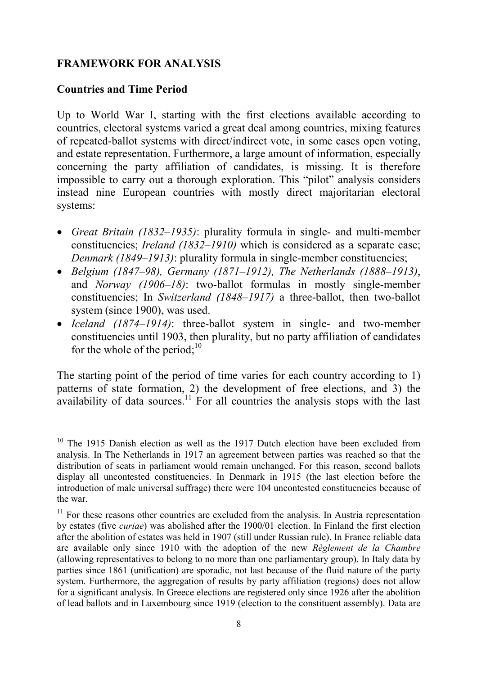# **FRAMEWORK FOR ANALYSIS**

## **Countries and Time Period**

Up to World War I, starting with the first elections available according to countries, electoral systems varied a great deal among countries, mixing features of repeated-ballot systems with direct/indirect vote, in some cases open voting, and estate representation. Furthermore, a large amount of information, especially concerning the party affiliation of candidates, is missing. It is therefore impossible to carry out a thorough exploration. This "pilot" analysis considers instead nine European countries with mostly direct majoritarian electoral systems:

- *Great Britain (1832–1935)*: plurality formula in single- and multi-member constituencies; *Ireland (1832–1910)* which is considered as a separate case; *Denmark (1849–1913)*: plurality formula in single-member constituencies;
- *Belgium (1847–98), Germany (1871–1912), The Netherlands (1888–1913)*, and *Norway (1906–18)*: two-ballot formulas in mostly single-member constituencies; In *Switzerland (1848–1917)* a three-ballot, then two-ballot system (since 1900), was used.
- *Iceland (1874–1914)*: three-ballot system in single- and two-member constituencies until 1903, then plurality, but no party affiliation of candidates for the whole of the period; $10$

The starting point of the period of time varies for each country according to 1) patterns of state formation, 2) the development of free elections, and 3) the availability of data sources.<sup>11</sup> For all countries the analysis stops with the last

 $10$  The 1915 Danish election as well as the 1917 Dutch election have been excluded from analysis. In The Netherlands in 1917 an agreement between parties was reached so that the distribution of seats in parliament would remain unchanged. For this reason, second ballots display all uncontested constituencies. In Denmark in 1915 (the last election before the introduction of male universal suffrage) there were 104 uncontested constituencies because of the war.

<sup>&</sup>lt;sup>11</sup> For these reasons other countries are excluded from the analysis. In Austria representation by estates (five *curiae*) was abolished after the 1900/01 election. In Finland the first election after the abolition of estates was held in 1907 (still under Russian rule). In France reliable data are available only since 1910 with the adoption of the new *Règlement de la Chambre* (allowing representatives to belong to no more than one parliamentary group). In Italy data by parties since 1861 (unification) are sporadic, not last because of the fluid nature of the party system. Furthermore, the aggregation of results by party affiliation (regions) does not allow for a significant analysis. In Greece elections are registered only since 1926 after the abolition of lead ballots and in Luxembourg since 1919 (election to the constituent assembly). Data are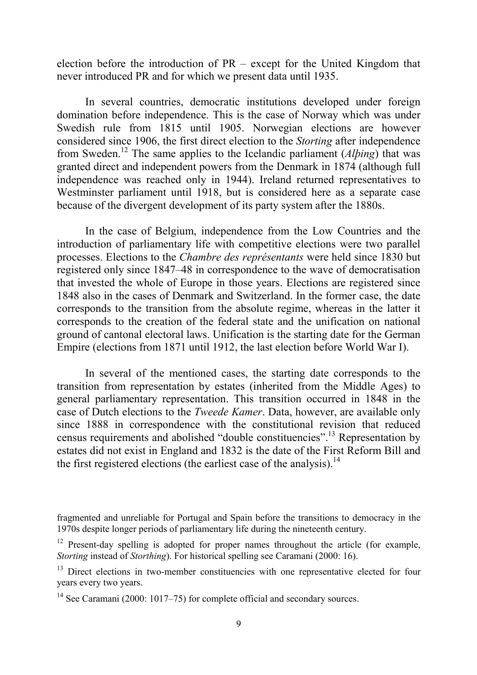election before the introduction of PR – except for the United Kingdom that never introduced PR and for which we present data until 1935.

In several countries, democratic institutions developed under foreign domination before independence. This is the case of Norway which was under Swedish rule from 1815 until 1905. Norwegian elections are however considered since 1906, the first direct election to the *Storting* after independence from Sweden.12 The same applies to the Icelandic parliament (*Alþing*) that was granted direct and independent powers from the Denmark in 1874 (although full independence was reached only in 1944). Ireland returned representatives to Westminster parliament until 1918, but is considered here as a separate case because of the divergent development of its party system after the 1880s.

In the case of Belgium, independence from the Low Countries and the introduction of parliamentary life with competitive elections were two parallel processes. Elections to the *Chambre des représentants* were held since 1830 but registered only since 1847–48 in correspondence to the wave of democratisation that invested the whole of Europe in those years. Elections are registered since 1848 also in the cases of Denmark and Switzerland. In the former case, the date corresponds to the transition from the absolute regime, whereas in the latter it corresponds to the creation of the federal state and the unification on national ground of cantonal electoral laws. Unification is the starting date for the German Empire (elections from 1871 until 1912, the last election before World War I).

In several of the mentioned cases, the starting date corresponds to the transition from representation by estates (inherited from the Middle Ages) to general parliamentary representation. This transition occurred in 1848 in the case of Dutch elections to the *Tweede Kamer*. Data, however, are available only since 1888 in correspondence with the constitutional revision that reduced census requirements and abolished "double constituencies".13 Representation by estates did not exist in England and 1832 is the date of the First Reform Bill and the first registered elections (the earliest case of the analysis).<sup>14</sup>

fragmented and unreliable for Portugal and Spain before the transitions to democracy in the 1970s despite longer periods of parliamentary life during the nineteenth century.

 $12$  Present-day spelling is adopted for proper names throughout the article (for example, *Storting* instead of *Storthing*). For historical spelling see Caramani (2000: 16).

<sup>&</sup>lt;sup>13</sup> Direct elections in two-member constituencies with one representative elected for four years every two years.

<sup>&</sup>lt;sup>14</sup> See Caramani (2000: 1017–75) for complete official and secondary sources.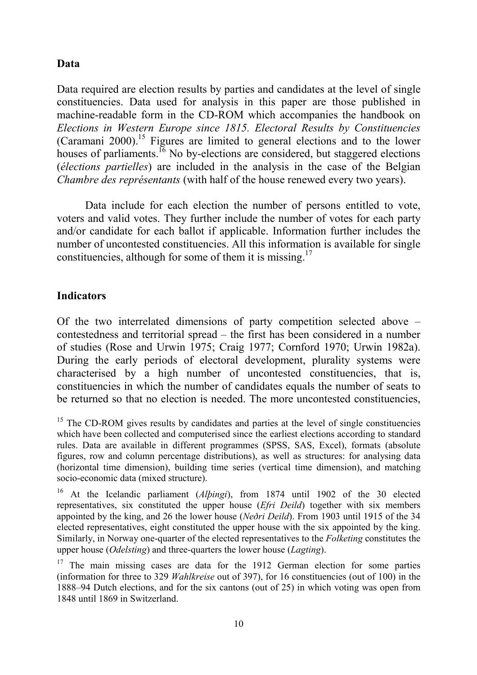# **Data**

Data required are election results by parties and candidates at the level of single constituencies. Data used for analysis in this paper are those published in machine-readable form in the CD-ROM which accompanies the handbook on *Elections in Western Europe since 1815. Electoral Results by Constituencies* (Caramani 2000).<sup>15</sup> Figures are limited to general elections and to the lower houses of parliaments.<sup>16</sup> No by-elections are considered, but staggered elections (*élections partielles*) are included in the analysis in the case of the Belgian *Chambre des représentants* (with half of the house renewed every two years).

Data include for each election the number of persons entitled to vote, voters and valid votes. They further include the number of votes for each party and/or candidate for each ballot if applicable. Information further includes the number of uncontested constituencies. All this information is available for single constituencies, although for some of them it is missing.<sup>17</sup>

# **Indicators**

Of the two interrelated dimensions of party competition selected above – contestedness and territorial spread – the first has been considered in a number of studies (Rose and Urwin 1975; Craig 1977; Cornford 1970; Urwin 1982a). During the early periods of electoral development, plurality systems were characterised by a high number of uncontested constituencies, that is, constituencies in which the number of candidates equals the number of seats to be returned so that no election is needed. The more uncontested constituencies,

 $15$  The CD-ROM gives results by candidates and parties at the level of single constituencies which have been collected and computerised since the earliest elections according to standard rules. Data are available in different programmes (SPSS, SAS, Excel), formats (absolute figures, row and column percentage distributions), as well as structures: for analysing data (horizontal time dimension), building time series (vertical time dimension), and matching socio-economic data (mixed structure).

16 At the Icelandic parliament (*Alþingi*), from 1874 until 1902 of the 30 elected representatives, six constituted the upper house (*Efri Deild*) together with six members appointed by the king, and 26 the lower house (*Neðri Deild*). From 1903 until 1915 of the 34 elected representatives, eight constituted the upper house with the six appointed by the king. Similarly, in Norway one-quarter of the elected representatives to the *Folketing* constitutes the upper house (*Odelsting*) and three-quarters the lower house (*Lagting*).

 $17$  The main missing cases are data for the 1912 German election for some parties (information for three to 329 *Wahlkreise* out of 397), for 16 constituencies (out of 100) in the 1888–94 Dutch elections, and for the six cantons (out of 25) in which voting was open from 1848 until 1869 in Switzerland.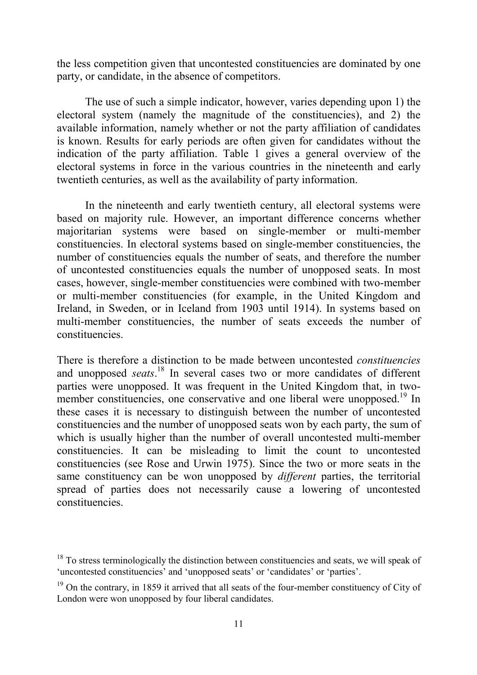the less competition given that uncontested constituencies are dominated by one party, or candidate, in the absence of competitors.

The use of such a simple indicator, however, varies depending upon 1) the electoral system (namely the magnitude of the constituencies), and 2) the available information, namely whether or not the party affiliation of candidates is known. Results for early periods are often given for candidates without the indication of the party affiliation. Table 1 gives a general overview of the electoral systems in force in the various countries in the nineteenth and early twentieth centuries, as well as the availability of party information.

In the nineteenth and early twentieth century, all electoral systems were based on majority rule. However, an important difference concerns whether majoritarian systems were based on single-member or multi-member constituencies. In electoral systems based on single-member constituencies, the number of constituencies equals the number of seats, and therefore the number of uncontested constituencies equals the number of unopposed seats. In most cases, however, single-member constituencies were combined with two-member or multi-member constituencies (for example, in the United Kingdom and Ireland, in Sweden, or in Iceland from 1903 until 1914). In systems based on multi-member constituencies, the number of seats exceeds the number of constituencies.

There is therefore a distinction to be made between uncontested *constituencies* and unopposed *seats*. 18 In several cases two or more candidates of different parties were unopposed. It was frequent in the United Kingdom that, in twomember constituencies, one conservative and one liberal were unopposed.<sup>19</sup> In these cases it is necessary to distinguish between the number of uncontested constituencies and the number of unopposed seats won by each party, the sum of which is usually higher than the number of overall uncontested multi-member constituencies. It can be misleading to limit the count to uncontested constituencies (see Rose and Urwin 1975). Since the two or more seats in the same constituency can be won unopposed by *different* parties, the territorial spread of parties does not necessarily cause a lowering of uncontested constituencies.

<sup>&</sup>lt;sup>18</sup> To stress terminologically the distinction between constituencies and seats, we will speak of 'uncontested constituencies' and 'unopposed seats' or 'candidates' or 'parties'.

 $19$  On the contrary, in 1859 it arrived that all seats of the four-member constituency of City of London were won unopposed by four liberal candidates.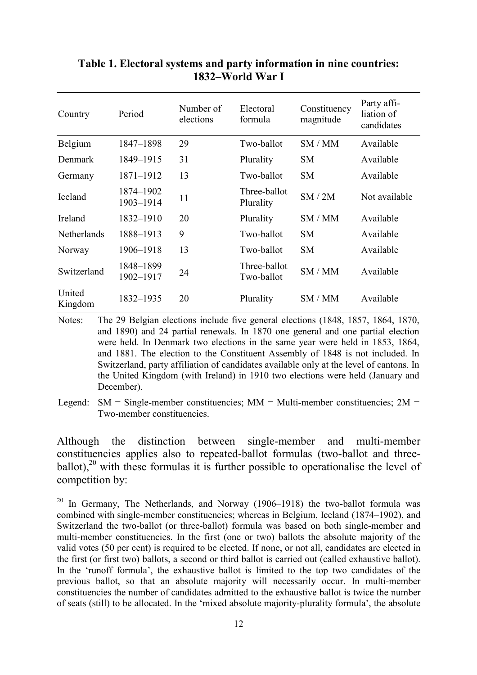| Country           | Period                 | Number of<br>elections | Electoral<br>formula       | Constituency<br>magnitude | Party affi-<br>liation of<br>candidates |
|-------------------|------------------------|------------------------|----------------------------|---------------------------|-----------------------------------------|
| Belgium           | 1847-1898              | 29                     | Two-ballot                 | SM/MM                     | Available                               |
| Denmark           | 1849-1915              | 31                     | Plurality                  | <b>SM</b>                 | Available                               |
| Germany           | 1871-1912              | 13                     | Two-ballot                 | <b>SM</b>                 | Available                               |
| Iceland           | 1874-1902<br>1903-1914 | 11                     | Three-ballot<br>Plurality  | SM/2M                     | Not available                           |
| Ireland           | 1832-1910              | 20                     | Plurality                  | SM/MM                     | Available                               |
| Netherlands       | 1888-1913              | 9                      | Two-ballot                 | <b>SM</b>                 | Available                               |
| Norway            | 1906-1918              | 13                     | Two-ballot                 | <b>SM</b>                 | Available                               |
| Switzerland       | 1848-1899<br>1902-1917 | 24                     | Three-ballot<br>Two-ballot | SM/MM                     | Available                               |
| United<br>Kingdom | 1832-1935              | 20                     | Plurality                  | SM/MM                     | Available                               |

# **Table 1. Electoral systems and party information in nine countries: 1832–World War I**

Notes: The 29 Belgian elections include five general elections (1848, 1857, 1864, 1870, and 1890) and 24 partial renewals. In 1870 one general and one partial election were held. In Denmark two elections in the same year were held in 1853, 1864, and 1881. The election to the Constituent Assembly of 1848 is not included. In Switzerland, party affiliation of candidates available only at the level of cantons. In the United Kingdom (with Ireland) in 1910 two elections were held (January and December).

Although the distinction between single-member and multi-member constituencies applies also to repeated-ballot formulas (two-ballot and threeballot), $^{20}$  with these formulas it is further possible to operationalise the level of competition by:

<sup>20</sup> In Germany, The Netherlands, and Norway (1906–1918) the two-ballot formula was combined with single-member constituencies; whereas in Belgium, Iceland (1874–1902), and Switzerland the two-ballot (or three-ballot) formula was based on both single-member and multi-member constituencies. In the first (one or two) ballots the absolute majority of the valid votes (50 per cent) is required to be elected. If none, or not all, candidates are elected in the first (or first two) ballots, a second or third ballot is carried out (called exhaustive ballot). In the 'runoff formula', the exhaustive ballot is limited to the top two candidates of the previous ballot, so that an absolute majority will necessarily occur. In multi-member constituencies the number of candidates admitted to the exhaustive ballot is twice the number of seats (still) to be allocated. In the 'mixed absolute majority-plurality formula', the absolute

Legend:  $SM = Single-member$  constituencies;  $MM = Multi-member$  constituencies;  $2M =$ Two-member constituencies.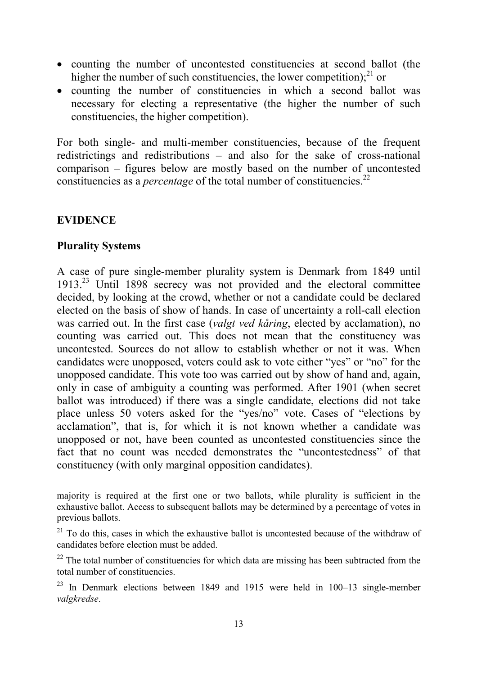- counting the number of uncontested constituencies at second ballot (the higher the number of such constituencies, the lower competition); $^{21}$  or
- counting the number of constituencies in which a second ballot was necessary for electing a representative (the higher the number of such constituencies, the higher competition).

For both single- and multi-member constituencies, because of the frequent redistrictings and redistributions – and also for the sake of cross-national comparison – figures below are mostly based on the number of uncontested constituencies as a *percentage* of the total number of constituencies.<sup>22</sup>

# **EVIDENCE**

# **Plurality Systems**

A case of pure single-member plurality system is Denmark from 1849 until 1913.23 Until 1898 secrecy was not provided and the electoral committee decided, by looking at the crowd, whether or not a candidate could be declared elected on the basis of show of hands. In case of uncertainty a roll-call election was carried out. In the first case (*valgt ved kåring*, elected by acclamation), no counting was carried out. This does not mean that the constituency was uncontested. Sources do not allow to establish whether or not it was. When candidates were unopposed, voters could ask to vote either "yes" or "no" for the unopposed candidate. This vote too was carried out by show of hand and, again, only in case of ambiguity a counting was performed. After 1901 (when secret ballot was introduced) if there was a single candidate, elections did not take place unless 50 voters asked for the "yes/no" vote. Cases of "elections by acclamation", that is, for which it is not known whether a candidate was unopposed or not, have been counted as uncontested constituencies since the fact that no count was needed demonstrates the "uncontestedness" of that constituency (with only marginal opposition candidates).

majority is required at the first one or two ballots, while plurality is sufficient in the exhaustive ballot. Access to subsequent ballots may be determined by a percentage of votes in previous ballots.

 $21$  To do this, cases in which the exhaustive ballot is uncontested because of the withdraw of candidates before election must be added.

 $22$  The total number of constituencies for which data are missing has been subtracted from the total number of constituencies.

 $23$  In Denmark elections between 1849 and 1915 were held in 100–13 single-member *valgkredse*.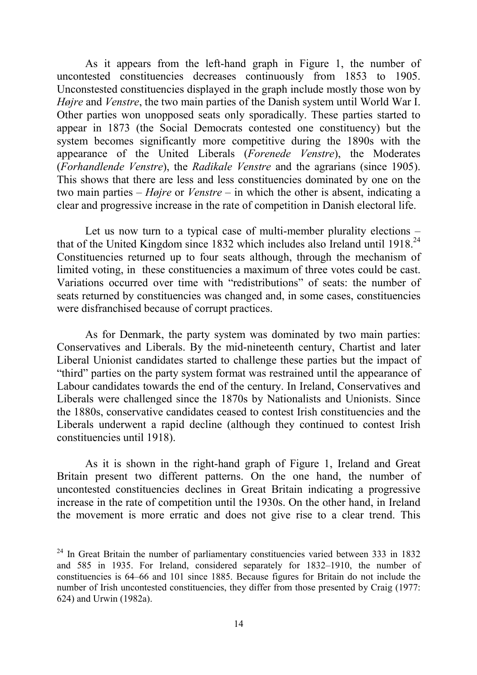As it appears from the left-hand graph in Figure 1, the number of uncontested constituencies decreases continuously from 1853 to 1905. Unconstested constituencies displayed in the graph include mostly those won by *Højre* and *Venstre*, the two main parties of the Danish system until World War I. Other parties won unopposed seats only sporadically. These parties started to appear in 1873 (the Social Democrats contested one constituency) but the system becomes significantly more competitive during the 1890s with the appearance of the United Liberals (*Forenede Venstre*), the Moderates (*Forhandlende Venstre*), the *Radikale Venstre* and the agrarians (since 1905). This shows that there are less and less constituencies dominated by one on the two main parties – *Højre* or *Venstre* – in which the other is absent, indicating a clear and progressive increase in the rate of competition in Danish electoral life.

Let us now turn to a typical case of multi-member plurality elections – that of the United Kingdom since 1832 which includes also Ireland until 1918.<sup>24</sup> Constituencies returned up to four seats although, through the mechanism of limited voting, in these constituencies a maximum of three votes could be cast. Variations occurred over time with "redistributions" of seats: the number of seats returned by constituencies was changed and, in some cases, constituencies were disfranchised because of corrupt practices.

As for Denmark, the party system was dominated by two main parties: Conservatives and Liberals. By the mid-nineteenth century, Chartist and later Liberal Unionist candidates started to challenge these parties but the impact of "third" parties on the party system format was restrained until the appearance of Labour candidates towards the end of the century. In Ireland, Conservatives and Liberals were challenged since the 1870s by Nationalists and Unionists. Since the 1880s, conservative candidates ceased to contest Irish constituencies and the Liberals underwent a rapid decline (although they continued to contest Irish constituencies until 1918).

As it is shown in the right-hand graph of Figure 1, Ireland and Great Britain present two different patterns. On the one hand, the number of uncontested constituencies declines in Great Britain indicating a progressive increase in the rate of competition until the 1930s. On the other hand, in Ireland the movement is more erratic and does not give rise to a clear trend. This

 $24$  In Great Britain the number of parliamentary constituencies varied between 333 in 1832 and 585 in 1935. For Ireland, considered separately for 1832–1910, the number of constituencies is 64–66 and 101 since 1885. Because figures for Britain do not include the number of Irish uncontested constituencies, they differ from those presented by Craig (1977: 624) and Urwin (1982a).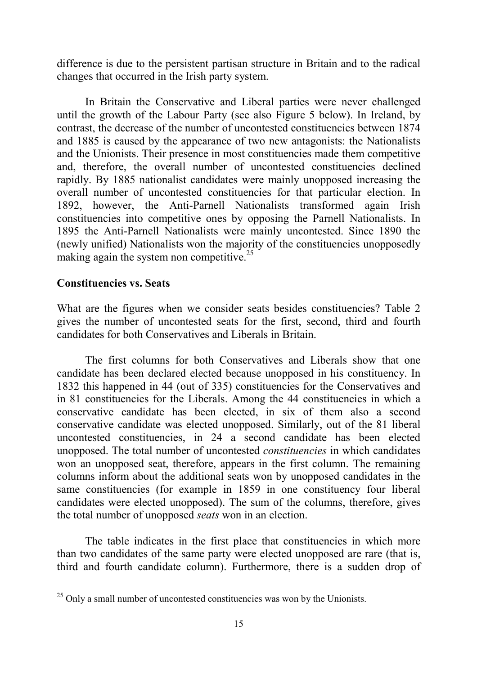difference is due to the persistent partisan structure in Britain and to the radical changes that occurred in the Irish party system.

In Britain the Conservative and Liberal parties were never challenged until the growth of the Labour Party (see also Figure 5 below). In Ireland, by contrast, the decrease of the number of uncontested constituencies between 1874 and 1885 is caused by the appearance of two new antagonists: the Nationalists and the Unionists. Their presence in most constituencies made them competitive and, therefore, the overall number of uncontested constituencies declined rapidly. By 1885 nationalist candidates were mainly unopposed increasing the overall number of uncontested constituencies for that particular election. In 1892, however, the Anti-Parnell Nationalists transformed again Irish constituencies into competitive ones by opposing the Parnell Nationalists. In 1895 the Anti-Parnell Nationalists were mainly uncontested. Since 1890 the (newly unified) Nationalists won the majority of the constituencies unopposedly making again the system non competitive.<sup>25</sup>

## **Constituencies vs. Seats**

What are the figures when we consider seats besides constituencies? Table 2 gives the number of uncontested seats for the first, second, third and fourth candidates for both Conservatives and Liberals in Britain.

The first columns for both Conservatives and Liberals show that one candidate has been declared elected because unopposed in his constituency. In 1832 this happened in 44 (out of 335) constituencies for the Conservatives and in 81 constituencies for the Liberals. Among the 44 constituencies in which a conservative candidate has been elected, in six of them also a second conservative candidate was elected unopposed. Similarly, out of the 81 liberal uncontested constituencies, in 24 a second candidate has been elected unopposed. The total number of uncontested *constituencies* in which candidates won an unopposed seat, therefore, appears in the first column. The remaining columns inform about the additional seats won by unopposed candidates in the same constituencies (for example in 1859 in one constituency four liberal candidates were elected unopposed). The sum of the columns, therefore, gives the total number of unopposed *seats* won in an election.

The table indicates in the first place that constituencies in which more than two candidates of the same party were elected unopposed are rare (that is, third and fourth candidate column). Furthermore, there is a sudden drop of

 $25$  Only a small number of uncontested constituencies was won by the Unionists.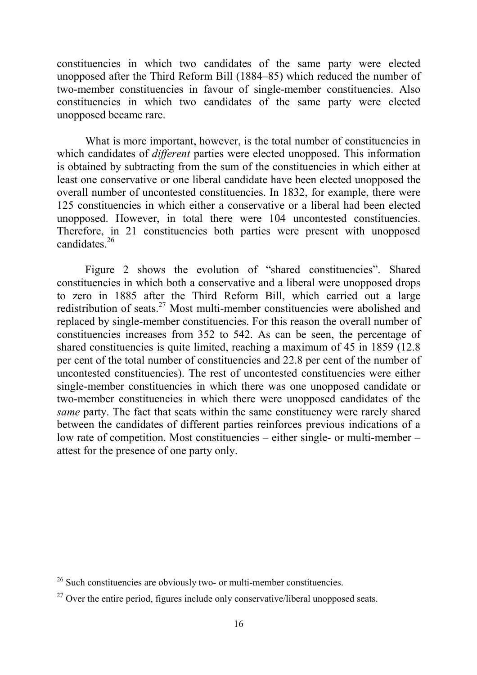constituencies in which two candidates of the same party were elected unopposed after the Third Reform Bill (1884–85) which reduced the number of two-member constituencies in favour of single-member constituencies. Also constituencies in which two candidates of the same party were elected unopposed became rare.

What is more important, however, is the total number of constituencies in which candidates of *different* parties were elected unopposed. This information is obtained by subtracting from the sum of the constituencies in which either at least one conservative or one liberal candidate have been elected unopposed the overall number of uncontested constituencies. In 1832, for example, there were 125 constituencies in which either a conservative or a liberal had been elected unopposed. However, in total there were 104 uncontested constituencies. Therefore, in 21 constituencies both parties were present with unopposed candidates.26

Figure 2 shows the evolution of "shared constituencies". Shared constituencies in which both a conservative and a liberal were unopposed drops to zero in 1885 after the Third Reform Bill, which carried out a large redistribution of seats.27 Most multi-member constituencies were abolished and replaced by single-member constituencies. For this reason the overall number of constituencies increases from 352 to 542. As can be seen, the percentage of shared constituencies is quite limited, reaching a maximum of 45 in 1859 (12.8 per cent of the total number of constituencies and 22.8 per cent of the number of uncontested constituencies). The rest of uncontested constituencies were either single-member constituencies in which there was one unopposed candidate or two-member constituencies in which there were unopposed candidates of the *same* party. The fact that seats within the same constituency were rarely shared between the candidates of different parties reinforces previous indications of a low rate of competition. Most constituencies – either single- or multi-member – attest for the presence of one party only.

<sup>&</sup>lt;sup>26</sup> Such constituencies are obviously two- or multi-member constituencies.

 $27$  Over the entire period, figures include only conservative/liberal unopposed seats.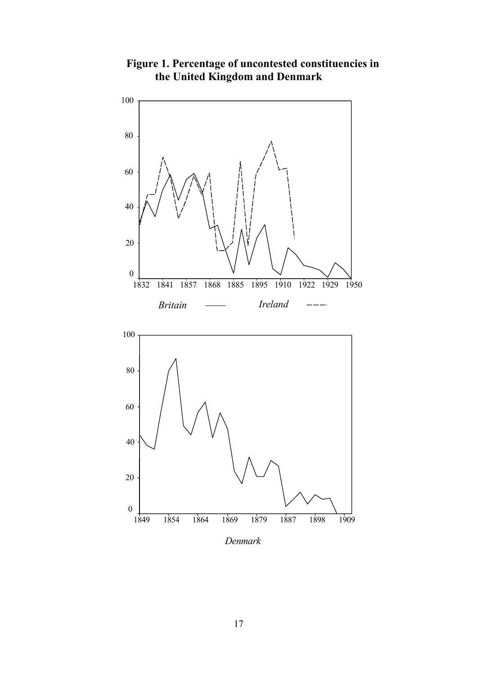

**Figure 1. Percentage of uncontested constituencies in the United Kingdom and Denmark**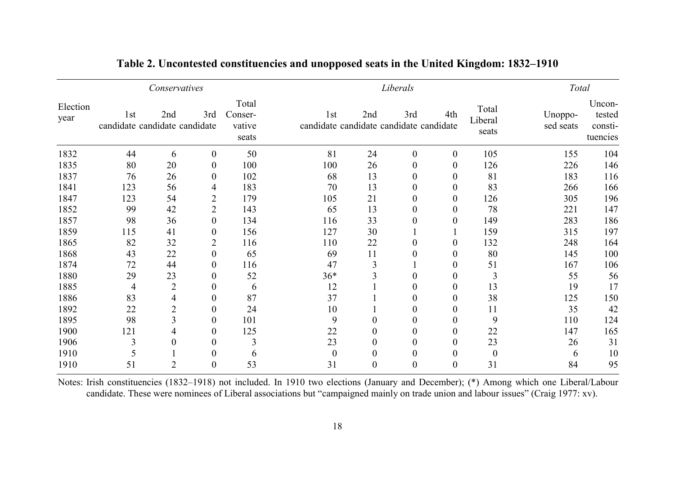| Conservatives    |                                      |                |                  |                                     |                                                            | Liberals |          |          |                           |                      | Total                                   |  |
|------------------|--------------------------------------|----------------|------------------|-------------------------------------|------------------------------------------------------------|----------|----------|----------|---------------------------|----------------------|-----------------------------------------|--|
| Election<br>year | 1st<br>candidate candidate candidate | 2nd            | 3rd              | Total<br>Conser-<br>vative<br>seats | 1 <sub>st</sub><br>candidate candidate candidate candidate | 2nd      | 3rd      | 4th      | Total<br>Liberal<br>seats | Unoppo-<br>sed seats | Uncon-<br>tested<br>consti-<br>tuencies |  |
| 1832             | 44                                   | 6              | $\theta$         | 50                                  | 81                                                         | 24       | $\theta$ | $\theta$ | 105                       | 155                  | 104                                     |  |
| 1835             | 80                                   | 20             | $\overline{0}$   | 100                                 | 100                                                        | 26       | $\theta$ | $\theta$ | 126                       | 226                  | 146                                     |  |
| 1837             | 76                                   | 26             | 0                | 102                                 | 68                                                         | 13       | $\theta$ | $\theta$ | 81                        | 183                  | 116                                     |  |
| 1841             | 123                                  | 56             | 4                | 183                                 | 70                                                         | 13       |          |          | 83                        | 266                  | 166                                     |  |
| 1847             | 123                                  | 54             | $\overline{2}$   | 179                                 | 105                                                        | 21       |          | 0        | 126                       | 305                  | 196                                     |  |
| 1852             | 99                                   | 42             | 2                | 143                                 | 65                                                         | 13       | $\theta$ | 0        | 78                        | 221                  | 147                                     |  |
| 1857             | 98                                   | 36             | $\theta$         | 134                                 | 116                                                        | 33       | $\Omega$ | $\Omega$ | 149                       | 283                  | 186                                     |  |
| 1859             | 115                                  | 41             | 0                | 156                                 | 127                                                        | 30       |          |          | 159                       | 315                  | 197                                     |  |
| 1865             | 82                                   | 32             | 2                | 116                                 | 110                                                        | 22       |          | $\theta$ | 132                       | 248                  | 164                                     |  |
| 1868             | 43                                   | 22             | $\overline{0}$   | 65                                  | 69                                                         | 11       |          |          | 80                        | 145                  | 100                                     |  |
| 1874             | 72                                   | 44             | $\overline{0}$   | 116                                 | 47                                                         | 3        |          | $\theta$ | 51                        | 167                  | 106                                     |  |
| 1880             | 29                                   | 23             | 0                | 52                                  | $36*$                                                      | 3        |          | 0        | $\overline{3}$            | 55                   | 56                                      |  |
| 1885             | $\overline{4}$                       | $\overline{2}$ | 0                | 6                                   | 12                                                         |          | $\theta$ | $\Omega$ | 13                        | 19                   | 17                                      |  |
| 1886             | 83                                   | 4              | 0                | 87                                  | 37                                                         |          |          | $\theta$ | 38                        | 125                  | 150                                     |  |
| 1892             | 22                                   | $\overline{2}$ | 0                | 24                                  | 10                                                         |          |          |          | 11                        | 35                   | 42                                      |  |
| 1895             | 98                                   | $\overline{3}$ | $\boldsymbol{0}$ | 101                                 | 9                                                          | $\theta$ |          |          | 9                         | 110                  | 124                                     |  |
| 1900             | 121                                  |                | 0                | 125                                 | 22                                                         | $\theta$ | $\theta$ | $\theta$ | 22                        | 147                  | 165                                     |  |
| 1906             | 3                                    | 0              | 0                | 3                                   | 23                                                         | $\theta$ | $\Omega$ | $\Omega$ | 23                        | 26                   | 31                                      |  |
| 1910             |                                      |                | 0                | 6                                   | $\overline{0}$                                             |          |          | 0        | $\boldsymbol{0}$          | 6                    | 10                                      |  |
| 1910             | 51                                   | $\overline{2}$ |                  | 53                                  | 31                                                         | 0        | $\theta$ |          | 31                        | 84                   | 95                                      |  |

**Table 2. Uncontested constituencies and unopposed seats in the United Kingdom: 1832–1910**

Notes: Irish constituencies (1832–1918) not included. In 1910 two elections (January and December); (\*) Among which one Liberal/Labour candidate. These were nominees of Liberal associations but "campaigned mainly on trade union and labour issues" (Craig 1977: xv).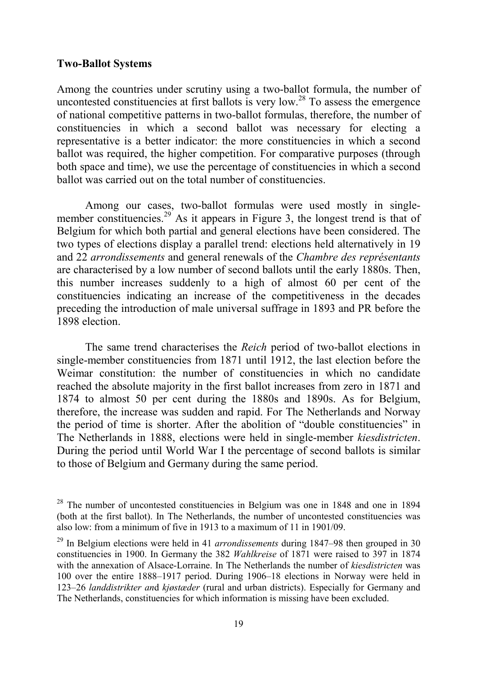#### **Two-Ballot Systems**

Among the countries under scrutiny using a two-ballot formula, the number of uncontested constituencies at first ballots is very low.28 To assess the emergence of national competitive patterns in two-ballot formulas, therefore, the number of constituencies in which a second ballot was necessary for electing a representative is a better indicator: the more constituencies in which a second ballot was required, the higher competition. For comparative purposes (through both space and time), we use the percentage of constituencies in which a second ballot was carried out on the total number of constituencies.

Among our cases, two-ballot formulas were used mostly in singlemember constituencies.<sup>29</sup> As it appears in Figure 3, the longest trend is that of Belgium for which both partial and general elections have been considered. The two types of elections display a parallel trend: elections held alternatively in 19 and 22 *arrondissements* and general renewals of the *Chambre des représentants* are characterised by a low number of second ballots until the early 1880s. Then, this number increases suddenly to a high of almost 60 per cent of the constituencies indicating an increase of the competitiveness in the decades preceding the introduction of male universal suffrage in 1893 and PR before the 1898 election.

The same trend characterises the *Reich* period of two-ballot elections in single-member constituencies from 1871 until 1912, the last election before the Weimar constitution: the number of constituencies in which no candidate reached the absolute majority in the first ballot increases from zero in 1871 and 1874 to almost 50 per cent during the 1880s and 1890s. As for Belgium, therefore, the increase was sudden and rapid. For The Netherlands and Norway the period of time is shorter. After the abolition of "double constituencies" in The Netherlands in 1888, elections were held in single-member *kiesdistricten*. During the period until World War I the percentage of second ballots is similar to those of Belgium and Germany during the same period.

<sup>&</sup>lt;sup>28</sup> The number of uncontested constituencies in Belgium was one in 1848 and one in 1894 (both at the first ballot). In The Netherlands, the number of uncontested constituencies was also low: from a minimum of five in 1913 to a maximum of 11 in 1901/09.

<sup>29</sup> In Belgium elections were held in 41 *arrondissements* during 1847–98 then grouped in 30 constituencies in 1900. In Germany the 382 *Wahlkreise* of 1871 were raised to 397 in 1874 with the annexation of Alsace-Lorraine. In The Netherlands the number of *kiesdistricten* was 100 over the entire 1888–1917 period. During 1906–18 elections in Norway were held in 123–26 *landdistrikter an*d *kjøstæder* (rural and urban districts). Especially for Germany and The Netherlands, constituencies for which information is missing have been excluded.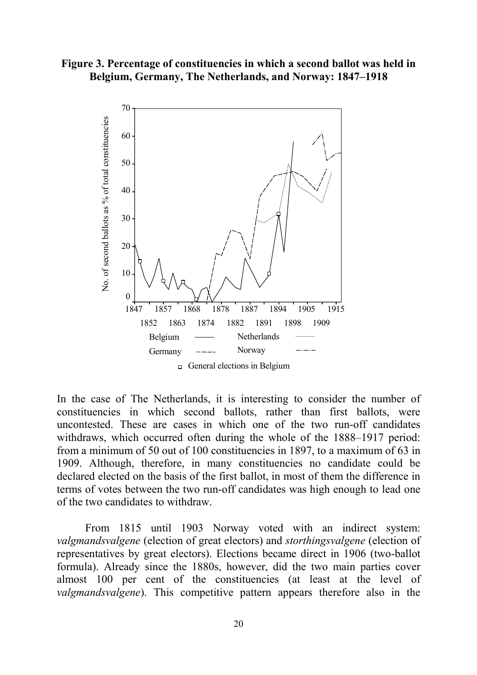**Figure 3. Percentage of constituencies in which a second ballot was held in Belgium, Germany, The Netherlands, and Norway: 1847–1918**



In the case of The Netherlands, it is interesting to consider the number of constituencies in which second ballots, rather than first ballots, were uncontested. These are cases in which one of the two run-off candidates withdraws, which occurred often during the whole of the 1888–1917 period: from a minimum of 50 out of 100 constituencies in 1897, to a maximum of 63 in 1909. Although, therefore, in many constituencies no candidate could be declared elected on the basis of the first ballot, in most of them the difference in terms of votes between the two run-off candidates was high enough to lead one of the two candidates to withdraw.

From 1815 until 1903 Norway voted with an indirect system: *valgmandsvalgene* (election of great electors) and *storthingsvalgene* (election of representatives by great electors). Elections became direct in 1906 (two-ballot formula). Already since the 1880s, however, did the two main parties cover almost 100 per cent of the constituencies (at least at the level of *valgmandsvalgene*). This competitive pattern appears therefore also in the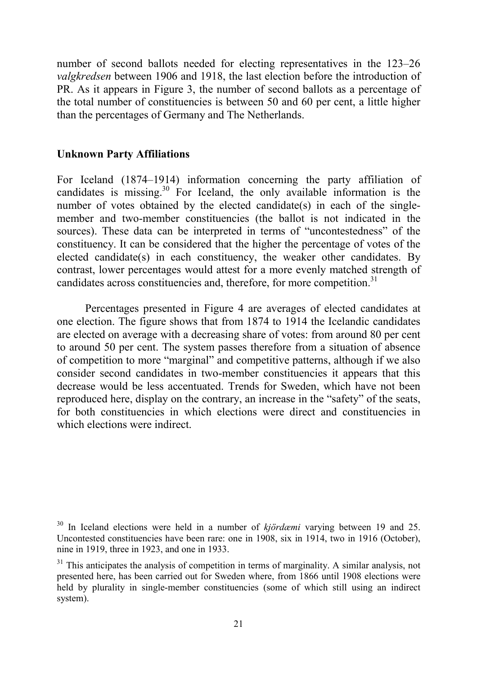number of second ballots needed for electing representatives in the 123–26 *valgkredsen* between 1906 and 1918, the last election before the introduction of PR. As it appears in Figure 3, the number of second ballots as a percentage of the total number of constituencies is between 50 and 60 per cent, a little higher than the percentages of Germany and The Netherlands.

## **Unknown Party Affiliations**

For Iceland (1874–1914) information concerning the party affiliation of candidates is missing.<sup>30</sup> For Iceland, the only available information is the number of votes obtained by the elected candidate(s) in each of the singlemember and two-member constituencies (the ballot is not indicated in the sources). These data can be interpreted in terms of "uncontestedness" of the constituency. It can be considered that the higher the percentage of votes of the elected candidate(s) in each constituency, the weaker other candidates. By contrast, lower percentages would attest for a more evenly matched strength of candidates across constituencies and, therefore, for more competition.<sup>31</sup>

Percentages presented in Figure 4 are averages of elected candidates at one election. The figure shows that from 1874 to 1914 the Icelandic candidates are elected on average with a decreasing share of votes: from around 80 per cent to around 50 per cent. The system passes therefore from a situation of absence of competition to more "marginal" and competitive patterns, although if we also consider second candidates in two-member constituencies it appears that this decrease would be less accentuated. Trends for Sweden, which have not been reproduced here, display on the contrary, an increase in the "safety" of the seats, for both constituencies in which elections were direct and constituencies in which elections were indirect.

<sup>30</sup> In Iceland elections were held in a number of *kjördæmi* varying between 19 and 25. Uncontested constituencies have been rare: one in 1908, six in 1914, two in 1916 (October), nine in 1919, three in 1923, and one in 1933.

<sup>&</sup>lt;sup>31</sup> This anticipates the analysis of competition in terms of marginality. A similar analysis, not presented here, has been carried out for Sweden where, from 1866 until 1908 elections were held by plurality in single-member constituencies (some of which still using an indirect system).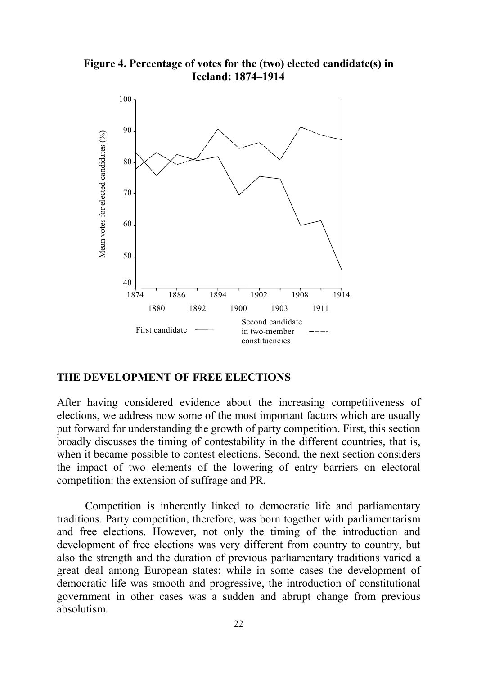**Figure 4. Percentage of votes for the (two) elected candidate(s) in Iceland: 1874–1914**



## **THE DEVELOPMENT OF FREE ELECTIONS**

After having considered evidence about the increasing competitiveness of elections, we address now some of the most important factors which are usually put forward for understanding the growth of party competition. First, this section broadly discusses the timing of contestability in the different countries, that is, when it became possible to contest elections. Second, the next section considers the impact of two elements of the lowering of entry barriers on electoral competition: the extension of suffrage and PR.

Competition is inherently linked to democratic life and parliamentary traditions. Party competition, therefore, was born together with parliamentarism and free elections. However, not only the timing of the introduction and development of free elections was very different from country to country, but also the strength and the duration of previous parliamentary traditions varied a great deal among European states: while in some cases the development of democratic life was smooth and progressive, the introduction of constitutional government in other cases was a sudden and abrupt change from previous absolutism.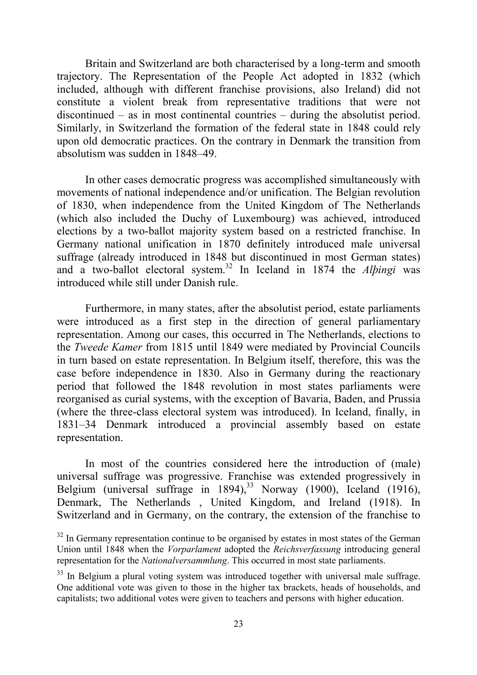Britain and Switzerland are both characterised by a long-term and smooth trajectory. The Representation of the People Act adopted in 1832 (which included, although with different franchise provisions, also Ireland) did not constitute a violent break from representative traditions that were not discontinued – as in most continental countries – during the absolutist period. Similarly, in Switzerland the formation of the federal state in 1848 could rely upon old democratic practices. On the contrary in Denmark the transition from absolutism was sudden in 1848–49.

In other cases democratic progress was accomplished simultaneously with movements of national independence and/or unification. The Belgian revolution of 1830, when independence from the United Kingdom of The Netherlands (which also included the Duchy of Luxembourg) was achieved, introduced elections by a two-ballot majority system based on a restricted franchise. In Germany national unification in 1870 definitely introduced male universal suffrage (already introduced in 1848 but discontinued in most German states) and a two-ballot electoral system.32 In Iceland in 1874 the *Alþingi* was introduced while still under Danish rule.

Furthermore, in many states, after the absolutist period, estate parliaments were introduced as a first step in the direction of general parliamentary representation. Among our cases, this occurred in The Netherlands, elections to the *Tweede Kamer* from 1815 until 1849 were mediated by Provincial Councils in turn based on estate representation. In Belgium itself, therefore, this was the case before independence in 1830. Also in Germany during the reactionary period that followed the 1848 revolution in most states parliaments were reorganised as curial systems, with the exception of Bavaria, Baden, and Prussia (where the three-class electoral system was introduced). In Iceland, finally, in 1831–34 Denmark introduced a provincial assembly based on estate representation.

In most of the countries considered here the introduction of (male) universal suffrage was progressive. Franchise was extended progressively in Belgium (universal suffrage in 1894),<sup>33</sup> Norway (1900), Iceland (1916), Denmark, The Netherlands , United Kingdom, and Ireland (1918). In Switzerland and in Germany, on the contrary, the extension of the franchise to

 $32$  In Germany representation continue to be organised by estates in most states of the German Union until 1848 when the *Vorparlament* adopted the *Reichsverfassung* introducing general representation for the *Nationalversammlung*. This occurred in most state parliaments.

<sup>&</sup>lt;sup>33</sup> In Belgium a plural voting system was introduced together with universal male suffrage. One additional vote was given to those in the higher tax brackets, heads of households, and capitalists; two additional votes were given to teachers and persons with higher education.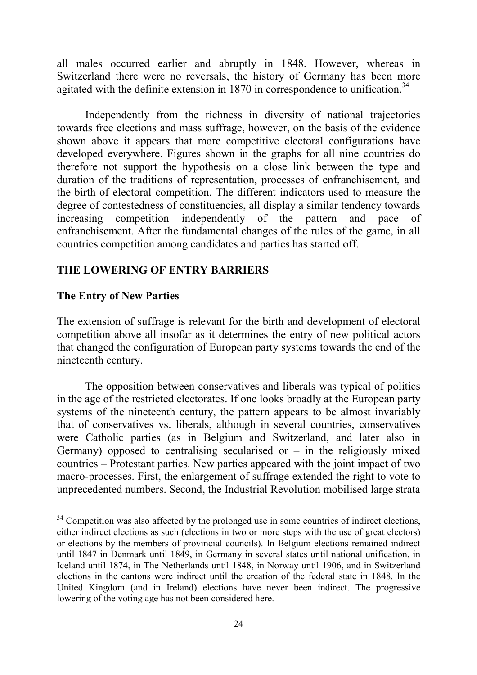all males occurred earlier and abruptly in 1848. However, whereas in Switzerland there were no reversals, the history of Germany has been more agitated with the definite extension in  $1870$  in correspondence to unification.<sup>34</sup>

Independently from the richness in diversity of national trajectories towards free elections and mass suffrage, however, on the basis of the evidence shown above it appears that more competitive electoral configurations have developed everywhere. Figures shown in the graphs for all nine countries do therefore not support the hypothesis on a close link between the type and duration of the traditions of representation, processes of enfranchisement, and the birth of electoral competition. The different indicators used to measure the degree of contestedness of constituencies, all display a similar tendency towards increasing competition independently of the pattern and pace enfranchisement. After the fundamental changes of the rules of the game, in all countries competition among candidates and parties has started off.

## **THE LOWERING OF ENTRY BARRIERS**

## **The Entry of New Parties**

The extension of suffrage is relevant for the birth and development of electoral competition above all insofar as it determines the entry of new political actors that changed the configuration of European party systems towards the end of the nineteenth century.

The opposition between conservatives and liberals was typical of politics in the age of the restricted electorates. If one looks broadly at the European party systems of the nineteenth century, the pattern appears to be almost invariably that of conservatives vs. liberals, although in several countries, conservatives were Catholic parties (as in Belgium and Switzerland, and later also in Germany) opposed to centralising secularised or  $-$  in the religiously mixed countries – Protestant parties. New parties appeared with the joint impact of two macro-processes. First, the enlargement of suffrage extended the right to vote to unprecedented numbers. Second, the Industrial Revolution mobilised large strata

 $34$  Competition was also affected by the prolonged use in some countries of indirect elections, either indirect elections as such (elections in two or more steps with the use of great electors) or elections by the members of provincial councils). In Belgium elections remained indirect until 1847 in Denmark until 1849, in Germany in several states until national unification, in Iceland until 1874, in The Netherlands until 1848, in Norway until 1906, and in Switzerland elections in the cantons were indirect until the creation of the federal state in 1848. In the United Kingdom (and in Ireland) elections have never been indirect. The progressive lowering of the voting age has not been considered here.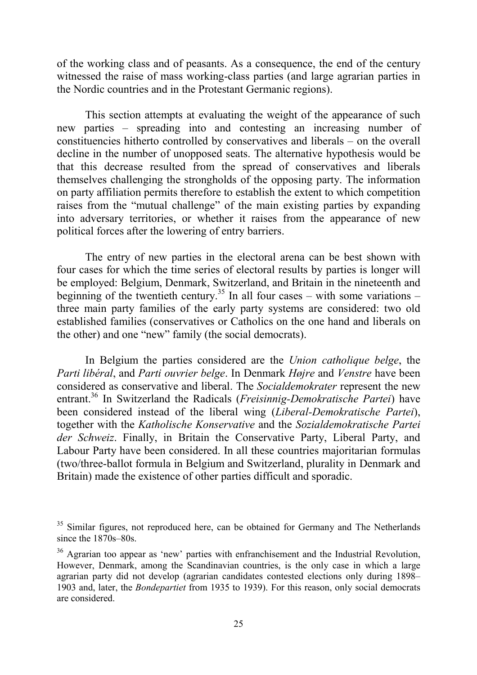of the working class and of peasants. As a consequence, the end of the century witnessed the raise of mass working-class parties (and large agrarian parties in the Nordic countries and in the Protestant Germanic regions).

This section attempts at evaluating the weight of the appearance of such new parties – spreading into and contesting an increasing number of constituencies hitherto controlled by conservatives and liberals – on the overall decline in the number of unopposed seats. The alternative hypothesis would be that this decrease resulted from the spread of conservatives and liberals themselves challenging the strongholds of the opposing party. The information on party affiliation permits therefore to establish the extent to which competition raises from the "mutual challenge" of the main existing parties by expanding into adversary territories, or whether it raises from the appearance of new political forces after the lowering of entry barriers.

The entry of new parties in the electoral arena can be best shown with four cases for which the time series of electoral results by parties is longer will be employed: Belgium, Denmark, Switzerland, and Britain in the nineteenth and beginning of the twentieth century.<sup>35</sup> In all four cases – with some variations – three main party families of the early party systems are considered: two old established families (conservatives or Catholics on the one hand and liberals on the other) and one "new" family (the social democrats).

In Belgium the parties considered are the *Union catholique belge*, the *Parti libéral*, and *Parti ouvrier belge*. In Denmark *Højre* and *Venstre* have been considered as conservative and liberal. The *Socialdemokrater* represent the new entrant.36 In Switzerland the Radicals (*Freisinnig-Demokratische Partei*) have been considered instead of the liberal wing (*Liberal-Demokratische Partei*), together with the *Katholische Konservative* and the *Sozialdemokratische Partei der Schweiz*. Finally, in Britain the Conservative Party, Liberal Party, and Labour Party have been considered. In all these countries majoritarian formulas (two/three-ballot formula in Belgium and Switzerland, plurality in Denmark and Britain) made the existence of other parties difficult and sporadic.

<sup>&</sup>lt;sup>35</sup> Similar figures, not reproduced here, can be obtained for Germany and The Netherlands since the 1870s–80s.

<sup>&</sup>lt;sup>36</sup> Agrarian too appear as 'new' parties with enfranchisement and the Industrial Revolution, However, Denmark, among the Scandinavian countries, is the only case in which a large agrarian party did not develop (agrarian candidates contested elections only during 1898– 1903 and, later, the *Bondepartiet* from 1935 to 1939). For this reason, only social democrats are considered.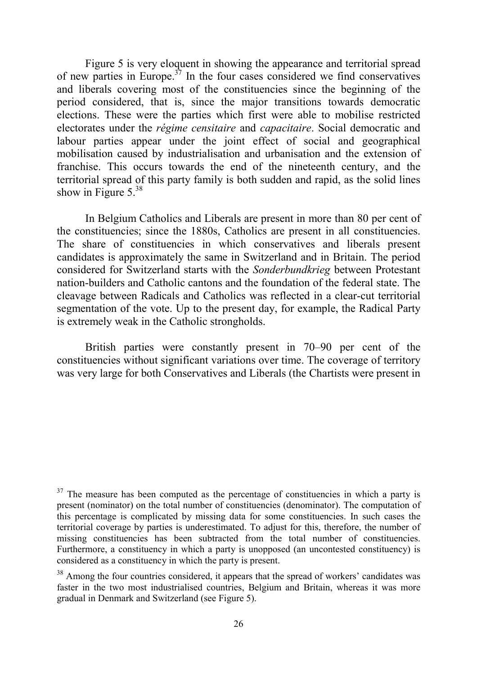Figure 5 is very eloquent in showing the appearance and territorial spread of new parties in Europe.<sup>37</sup> In the four cases considered we find conservatives and liberals covering most of the constituencies since the beginning of the period considered, that is, since the major transitions towards democratic elections. These were the parties which first were able to mobilise restricted electorates under the *régime censitaire* and *capacitaire*. Social democratic and labour parties appear under the joint effect of social and geographical mobilisation caused by industrialisation and urbanisation and the extension of franchise. This occurs towards the end of the nineteenth century, and the territorial spread of this party family is both sudden and rapid, as the solid lines show in Figure  $5^{38}$ 

In Belgium Catholics and Liberals are present in more than 80 per cent of the constituencies; since the 1880s, Catholics are present in all constituencies. The share of constituencies in which conservatives and liberals present candidates is approximately the same in Switzerland and in Britain. The period considered for Switzerland starts with the *Sonderbundkrieg* between Protestant nation-builders and Catholic cantons and the foundation of the federal state. The cleavage between Radicals and Catholics was reflected in a clear-cut territorial segmentation of the vote. Up to the present day, for example, the Radical Party is extremely weak in the Catholic strongholds.

British parties were constantly present in 70–90 per cent of the constituencies without significant variations over time. The coverage of territory was very large for both Conservatives and Liberals (the Chartists were present in

 $37$  The measure has been computed as the percentage of constituencies in which a party is present (nominator) on the total number of constituencies (denominator). The computation of this percentage is complicated by missing data for some constituencies. In such cases the territorial coverage by parties is underestimated. To adjust for this, therefore, the number of missing constituencies has been subtracted from the total number of constituencies. Furthermore, a constituency in which a party is unopposed (an uncontested constituency) is considered as a constituency in which the party is present.

<sup>38</sup> Among the four countries considered, it appears that the spread of workers' candidates was faster in the two most industrialised countries, Belgium and Britain, whereas it was more gradual in Denmark and Switzerland (see Figure 5).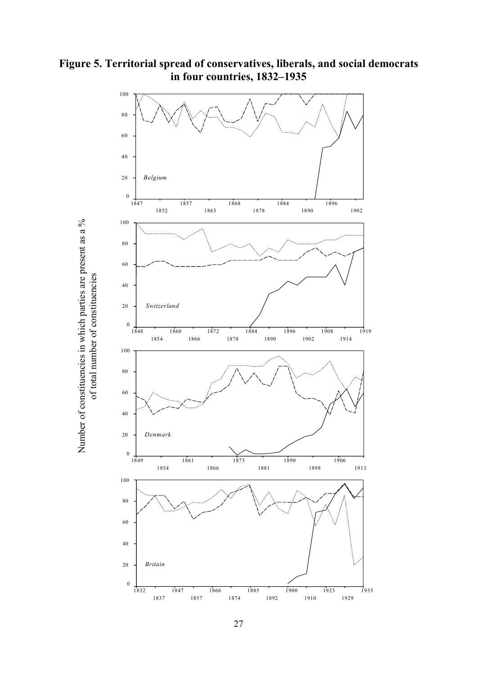

Number of constituencies in which parties are present as a %

Number of constituencies in which parties are present as a %

**Figure 5. Territorial spread of conservatives, liberals, and social democrats in four countries, 1832–1935**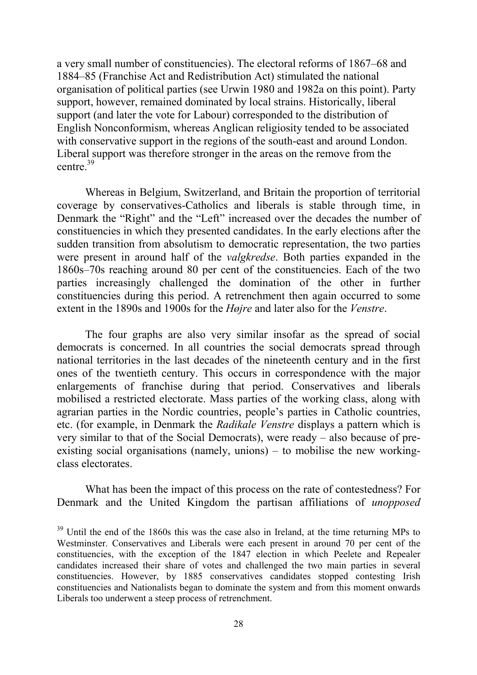a very small number of constituencies). The electoral reforms of 1867–68 and 1884–85 (Franchise Act and Redistribution Act) stimulated the national organisation of political parties (see Urwin 1980 and 1982a on this point). Party support, however, remained dominated by local strains. Historically, liberal support (and later the vote for Labour) corresponded to the distribution of English Nonconformism, whereas Anglican religiosity tended to be associated with conservative support in the regions of the south-east and around London. Liberal support was therefore stronger in the areas on the remove from the centre.39

Whereas in Belgium, Switzerland, and Britain the proportion of territorial coverage by conservatives-Catholics and liberals is stable through time, in Denmark the "Right" and the "Left" increased over the decades the number of constituencies in which they presented candidates. In the early elections after the sudden transition from absolutism to democratic representation, the two parties were present in around half of the *valgkredse*. Both parties expanded in the 1860s–70s reaching around 80 per cent of the constituencies. Each of the two parties increasingly challenged the domination of the other in further constituencies during this period. A retrenchment then again occurred to some extent in the 1890s and 1900s for the *Højre* and later also for the *Venstre*.

The four graphs are also very similar insofar as the spread of social democrats is concerned. In all countries the social democrats spread through national territories in the last decades of the nineteenth century and in the first ones of the twentieth century. This occurs in correspondence with the major enlargements of franchise during that period. Conservatives and liberals mobilised a restricted electorate. Mass parties of the working class, along with agrarian parties in the Nordic countries, people's parties in Catholic countries, etc. (for example, in Denmark the *Radikale Venstre* displays a pattern which is very similar to that of the Social Democrats), were ready – also because of preexisting social organisations (namely, unions) – to mobilise the new workingclass electorates.

What has been the impact of this process on the rate of contestedness? For Denmark and the United Kingdom the partisan affiliations of *unopposed*

 $39$  Until the end of the 1860s this was the case also in Ireland, at the time returning MPs to Westminster. Conservatives and Liberals were each present in around 70 per cent of the constituencies, with the exception of the 1847 election in which Peelete and Repealer candidates increased their share of votes and challenged the two main parties in several constituencies. However, by 1885 conservatives candidates stopped contesting Irish constituencies and Nationalists began to dominate the system and from this moment onwards Liberals too underwent a steep process of retrenchment.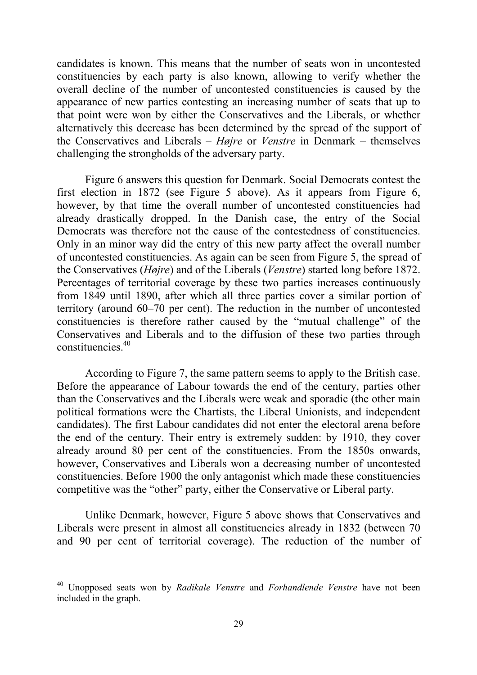candidates is known. This means that the number of seats won in uncontested constituencies by each party is also known, allowing to verify whether the overall decline of the number of uncontested constituencies is caused by the appearance of new parties contesting an increasing number of seats that up to that point were won by either the Conservatives and the Liberals, or whether alternatively this decrease has been determined by the spread of the support of the Conservatives and Liberals – *Højre* or *Venstre* in Denmark – themselves challenging the strongholds of the adversary party.

Figure 6 answers this question for Denmark. Social Democrats contest the first election in 1872 (see Figure 5 above). As it appears from Figure 6, however, by that time the overall number of uncontested constituencies had already drastically dropped. In the Danish case, the entry of the Social Democrats was therefore not the cause of the contestedness of constituencies. Only in an minor way did the entry of this new party affect the overall number of uncontested constituencies. As again can be seen from Figure 5, the spread of the Conservatives (*Højre*) and of the Liberals (*Venstre*) started long before 1872. Percentages of territorial coverage by these two parties increases continuously from 1849 until 1890, after which all three parties cover a similar portion of territory (around 60–70 per cent). The reduction in the number of uncontested constituencies is therefore rather caused by the "mutual challenge" of the Conservatives and Liberals and to the diffusion of these two parties through constituencies<sup>40</sup>

According to Figure 7, the same pattern seems to apply to the British case. Before the appearance of Labour towards the end of the century, parties other than the Conservatives and the Liberals were weak and sporadic (the other main political formations were the Chartists, the Liberal Unionists, and independent candidates). The first Labour candidates did not enter the electoral arena before the end of the century. Their entry is extremely sudden: by 1910, they cover already around 80 per cent of the constituencies. From the 1850s onwards, however, Conservatives and Liberals won a decreasing number of uncontested constituencies. Before 1900 the only antagonist which made these constituencies competitive was the "other" party, either the Conservative or Liberal party.

Unlike Denmark, however, Figure 5 above shows that Conservatives and Liberals were present in almost all constituencies already in 1832 (between 70 and 90 per cent of territorial coverage). The reduction of the number of

<sup>40</sup> Unopposed seats won by *Radikale Venstre* and *Forhandlende Venstre* have not been included in the graph.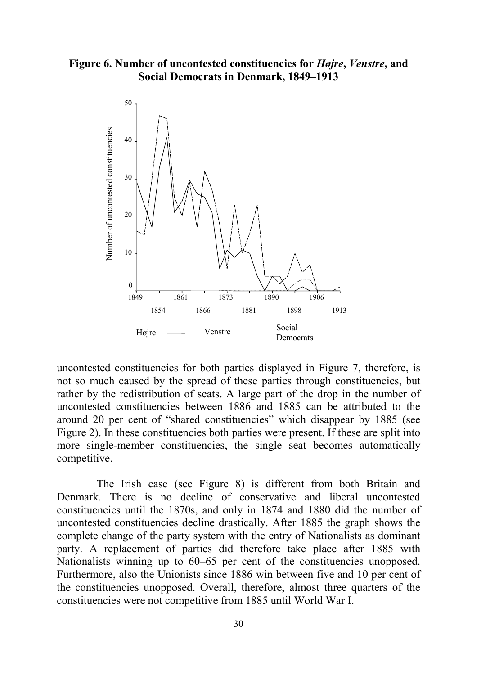**Figure 6. Number of uncontested constituencies for** *Højre***,** *Venstre***, and Social Democrats in Denmark, 1849–1913**



uncontested constituencies for both parties displayed in Figure 7, therefore, is not so much caused by the spread of these parties through constituencies, but rather by the redistribution of seats. A large part of the drop in the number of uncontested constituencies between 1886 and 1885 can be attributed to the around 20 per cent of "shared constituencies" which disappear by 1885 (see Figure 2). In these constituencies both parties were present. If these are split into more single-member constituencies, the single seat becomes automatically competitive.

The Irish case (see Figure 8) is different from both Britain and Denmark. There is no decline of conservative and liberal uncontested constituencies until the 1870s, and only in 1874 and 1880 did the number of uncontested constituencies decline drastically. After 1885 the graph shows the complete change of the party system with the entry of Nationalists as dominant party. A replacement of parties did therefore take place after 1885 with Nationalists winning up to 60–65 per cent of the constituencies unopposed. Furthermore, also the Unionists since 1886 win between five and 10 per cent of the constituencies unopposed. Overall, therefore, almost three quarters of the constituencies were not competitive from 1885 until World War I.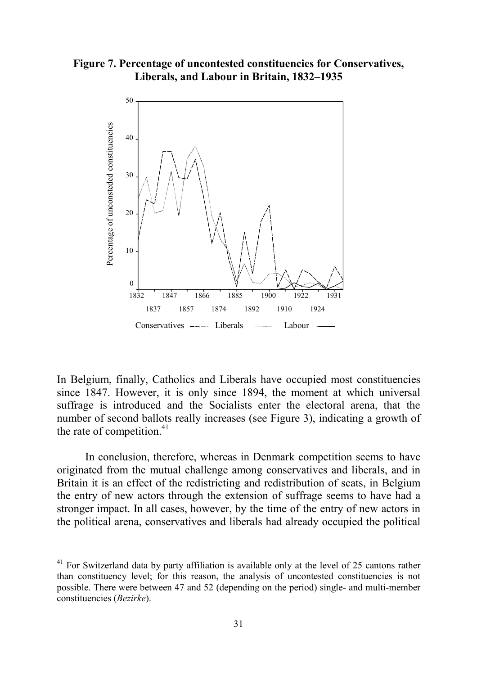**Figure 7. Percentage of uncontested constituencies for Conservatives, Liberals, and Labour in Britain, 1832–1935**



In Belgium, finally, Catholics and Liberals have occupied most constituencies since 1847. However, it is only since 1894, the moment at which universal suffrage is introduced and the Socialists enter the electoral arena, that the number of second ballots really increases (see Figure 3), indicating a growth of the rate of competition. $41$ 

In conclusion, therefore, whereas in Denmark competition seems to have originated from the mutual challenge among conservatives and liberals, and in Britain it is an effect of the redistricting and redistribution of seats, in Belgium the entry of new actors through the extension of suffrage seems to have had a stronger impact. In all cases, however, by the time of the entry of new actors in the political arena, conservatives and liberals had already occupied the political

<sup>&</sup>lt;sup>41</sup> For Switzerland data by party affiliation is available only at the level of 25 cantons rather than constituency level; for this reason, the analysis of uncontested constituencies is not possible. There were between 47 and 52 (depending on the period) single- and multi-member constituencies (*Bezirke*).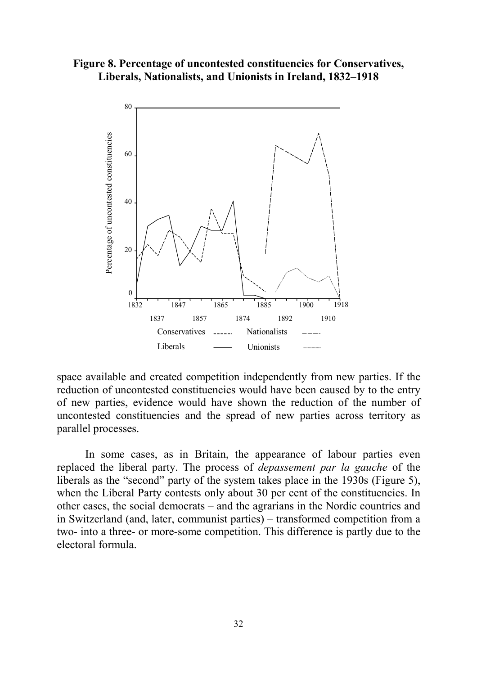## **Figure 8. Percentage of uncontested constituencies for Conservatives, Liberals, Nationalists, and Unionists in Ireland, 1832–1918**



space available and created competition independently from new parties. If the reduction of uncontested constituencies would have been caused by to the entry of new parties, evidence would have shown the reduction of the number of uncontested constituencies and the spread of new parties across territory as parallel processes.

In some cases, as in Britain, the appearance of labour parties even replaced the liberal party. The process of *depassement par la gauche* of the liberals as the "second" party of the system takes place in the 1930s (Figure 5), when the Liberal Party contests only about 30 per cent of the constituencies. In other cases, the social democrats – and the agrarians in the Nordic countries and in Switzerland (and, later, communist parties) – transformed competition from a two- into a three- or more-some competition. This difference is partly due to the electoral formula.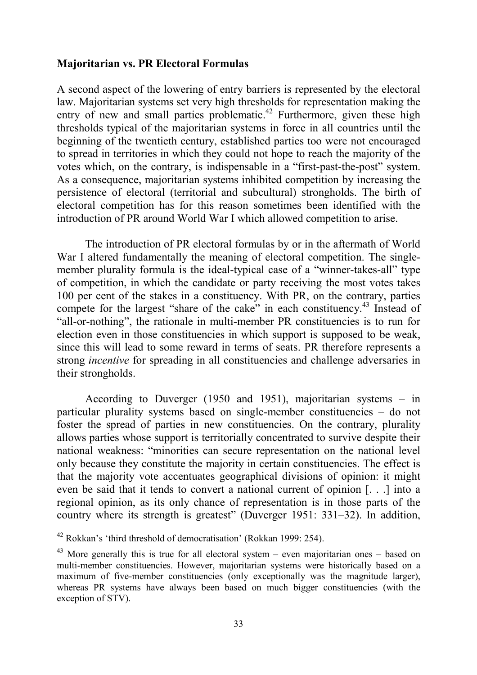## **Majoritarian vs. PR Electoral Formulas**

A second aspect of the lowering of entry barriers is represented by the electoral law. Majoritarian systems set very high thresholds for representation making the entry of new and small parties problematic.<sup>42</sup> Furthermore, given these high thresholds typical of the majoritarian systems in force in all countries until the beginning of the twentieth century, established parties too were not encouraged to spread in territories in which they could not hope to reach the majority of the votes which, on the contrary, is indispensable in a "first-past-the-post" system. As a consequence, majoritarian systems inhibited competition by increasing the persistence of electoral (territorial and subcultural) strongholds. The birth of electoral competition has for this reason sometimes been identified with the introduction of PR around World War I which allowed competition to arise.

The introduction of PR electoral formulas by or in the aftermath of World War I altered fundamentally the meaning of electoral competition. The singlemember plurality formula is the ideal-typical case of a "winner-takes-all" type of competition, in which the candidate or party receiving the most votes takes 100 per cent of the stakes in a constituency. With PR, on the contrary, parties compete for the largest "share of the cake" in each constituency.<sup>43</sup> Instead of "all-or-nothing", the rationale in multi-member PR constituencies is to run for election even in those constituencies in which support is supposed to be weak, since this will lead to some reward in terms of seats. PR therefore represents a strong *incentive* for spreading in all constituencies and challenge adversaries in their strongholds.

According to Duverger (1950 and 1951), majoritarian systems – in particular plurality systems based on single-member constituencies – do not foster the spread of parties in new constituencies. On the contrary, plurality allows parties whose support is territorially concentrated to survive despite their national weakness: "minorities can secure representation on the national level only because they constitute the majority in certain constituencies. The effect is that the majority vote accentuates geographical divisions of opinion: it might even be said that it tends to convert a national current of opinion [. . .] into a regional opinion, as its only chance of representation is in those parts of the country where its strength is greatest" (Duverger 1951: 331–32). In addition,

<sup>42</sup> Rokkan's 'third threshold of democratisation' (Rokkan 1999: 254).

 $43$  More generally this is true for all electoral system – even majoritarian ones – based on multi-member constituencies. However, majoritarian systems were historically based on a maximum of five-member constituencies (only exceptionally was the magnitude larger), whereas PR systems have always been based on much bigger constituencies (with the exception of STV).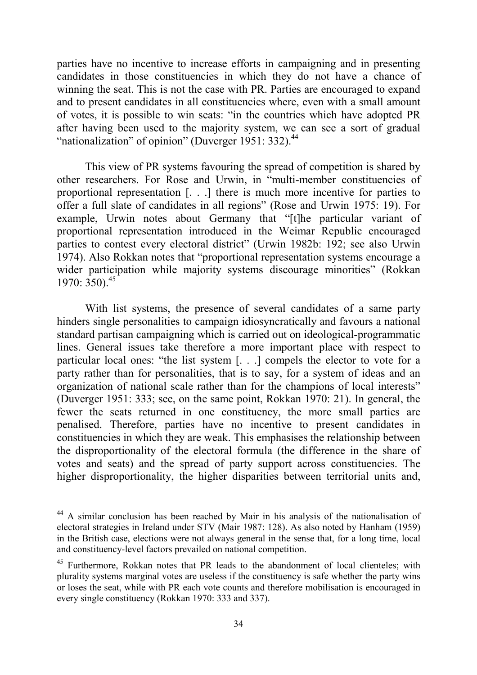parties have no incentive to increase efforts in campaigning and in presenting candidates in those constituencies in which they do not have a chance of winning the seat. This is not the case with PR. Parties are encouraged to expand and to present candidates in all constituencies where, even with a small amount of votes, it is possible to win seats: "in the countries which have adopted PR after having been used to the majority system, we can see a sort of gradual "nationalization" of opinion" (Duverger 1951: 332).<sup>44</sup>

This view of PR systems favouring the spread of competition is shared by other researchers. For Rose and Urwin, in "multi-member constituencies of proportional representation [. . .] there is much more incentive for parties to offer a full slate of candidates in all regions" (Rose and Urwin 1975: 19). For example, Urwin notes about Germany that "[t]he particular variant of proportional representation introduced in the Weimar Republic encouraged parties to contest every electoral district" (Urwin 1982b: 192; see also Urwin 1974). Also Rokkan notes that "proportional representation systems encourage a wider participation while majority systems discourage minorities" (Rokkan 1970:  $350$ .  $45$ 

With list systems, the presence of several candidates of a same party hinders single personalities to campaign idiosyncratically and favours a national standard partisan campaigning which is carried out on ideological-programmatic lines. General issues take therefore a more important place with respect to particular local ones: "the list system [. . .] compels the elector to vote for a party rather than for personalities, that is to say, for a system of ideas and an organization of national scale rather than for the champions of local interests" (Duverger 1951: 333; see, on the same point, Rokkan 1970: 21). In general, the fewer the seats returned in one constituency, the more small parties are penalised. Therefore, parties have no incentive to present candidates in constituencies in which they are weak. This emphasises the relationship between the disproportionality of the electoral formula (the difference in the share of votes and seats) and the spread of party support across constituencies. The higher disproportionality, the higher disparities between territorial units and,

<sup>44</sup> A similar conclusion has been reached by Mair in his analysis of the nationalisation of electoral strategies in Ireland under STV (Mair 1987: 128). As also noted by Hanham (1959) in the British case, elections were not always general in the sense that, for a long time, local and constituency-level factors prevailed on national competition.

<sup>&</sup>lt;sup>45</sup> Furthermore, Rokkan notes that PR leads to the abandonment of local clienteles; with plurality systems marginal votes are useless if the constituency is safe whether the party wins or loses the seat, while with PR each vote counts and therefore mobilisation is encouraged in every single constituency (Rokkan 1970: 333 and 337).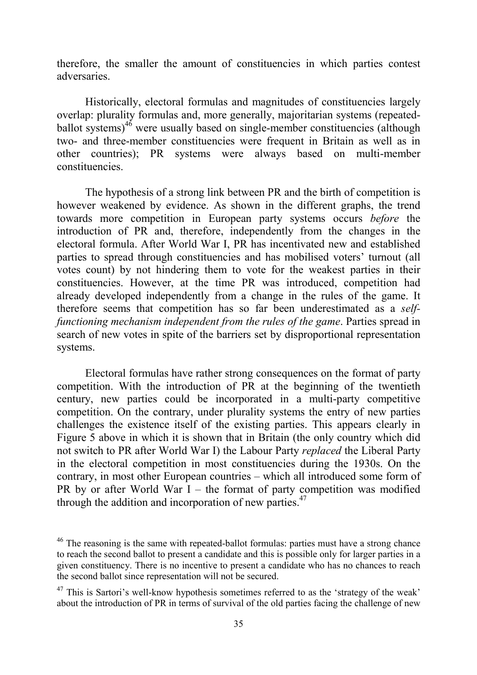therefore, the smaller the amount of constituencies in which parties contest adversaries.

Historically, electoral formulas and magnitudes of constituencies largely overlap: plurality formulas and, more generally, majoritarian systems (repeatedballot systems) $46$  were usually based on single-member constituencies (although two- and three-member constituencies were frequent in Britain as well as in other countries); PR systems were always based on multi-member constituencies.

The hypothesis of a strong link between PR and the birth of competition is however weakened by evidence. As shown in the different graphs, the trend towards more competition in European party systems occurs *before* the introduction of PR and, therefore, independently from the changes in the electoral formula. After World War I, PR has incentivated new and established parties to spread through constituencies and has mobilised voters' turnout (all votes count) by not hindering them to vote for the weakest parties in their constituencies. However, at the time PR was introduced, competition had already developed independently from a change in the rules of the game. It therefore seems that competition has so far been underestimated as a *selffunctioning mechanism independent from the rules of the game*. Parties spread in search of new votes in spite of the barriers set by disproportional representation systems.

Electoral formulas have rather strong consequences on the format of party competition. With the introduction of PR at the beginning of the twentieth century, new parties could be incorporated in a multi-party competitive competition. On the contrary, under plurality systems the entry of new parties challenges the existence itself of the existing parties. This appears clearly in Figure 5 above in which it is shown that in Britain (the only country which did not switch to PR after World War I) the Labour Party *replaced* the Liberal Party in the electoral competition in most constituencies during the 1930s. On the contrary, in most other European countries – which all introduced some form of PR by or after World War I – the format of party competition was modified through the addition and incorporation of new parties.<sup>47</sup>

 $46$  The reasoning is the same with repeated-ballot formulas: parties must have a strong chance to reach the second ballot to present a candidate and this is possible only for larger parties in a given constituency. There is no incentive to present a candidate who has no chances to reach the second ballot since representation will not be secured.

 $47$  This is Sartori's well-know hypothesis sometimes referred to as the 'strategy of the weak' about the introduction of PR in terms of survival of the old parties facing the challenge of new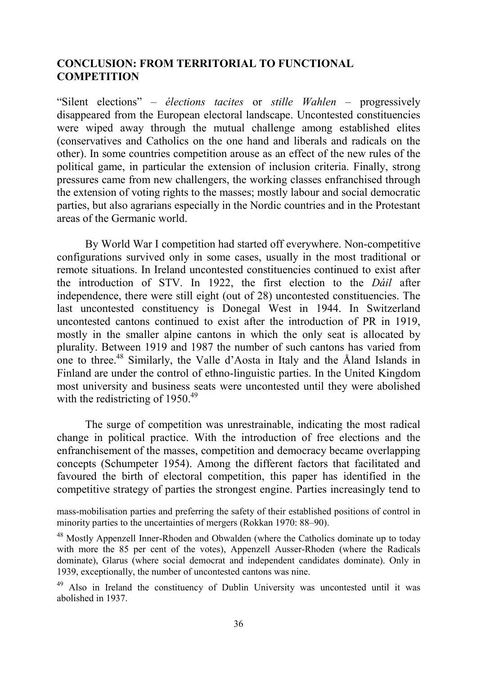# **CONCLUSION: FROM TERRITORIAL TO FUNCTIONAL COMPETITION**

"Silent elections" – *élections tacites* or *stille Wahlen* – progressively disappeared from the European electoral landscape. Uncontested constituencies were wiped away through the mutual challenge among established elites (conservatives and Catholics on the one hand and liberals and radicals on the other). In some countries competition arouse as an effect of the new rules of the political game, in particular the extension of inclusion criteria. Finally, strong pressures came from new challengers, the working classes enfranchised through the extension of voting rights to the masses; mostly labour and social democratic parties, but also agrarians especially in the Nordic countries and in the Protestant areas of the Germanic world.

By World War I competition had started off everywhere. Non-competitive configurations survived only in some cases, usually in the most traditional or remote situations. In Ireland uncontested constituencies continued to exist after the introduction of STV. In 1922, the first election to the *Dáil* after independence, there were still eight (out of 28) uncontested constituencies. The last uncontested constituency is Donegal West in 1944. In Switzerland uncontested cantons continued to exist after the introduction of PR in 1919, mostly in the smaller alpine cantons in which the only seat is allocated by plurality. Between 1919 and 1987 the number of such cantons has varied from one to three.48 Similarly, the Valle d'Aosta in Italy and the Åland Islands in Finland are under the control of ethno-linguistic parties. In the United Kingdom most university and business seats were uncontested until they were abolished with the redistricting of  $1950^{49}$ 

The surge of competition was unrestrainable, indicating the most radical change in political practice. With the introduction of free elections and the enfranchisement of the masses, competition and democracy became overlapping concepts (Schumpeter 1954). Among the different factors that facilitated and favoured the birth of electoral competition, this paper has identified in the competitive strategy of parties the strongest engine. Parties increasingly tend to

mass-mobilisation parties and preferring the safety of their established positions of control in minority parties to the uncertainties of mergers (Rokkan 1970: 88–90).

<sup>48</sup> Mostly Appenzell Inner-Rhoden and Obwalden (where the Catholics dominate up to today with more the 85 per cent of the votes), Appenzell Ausser-Rhoden (where the Radicals dominate), Glarus (where social democrat and independent candidates dominate). Only in 1939, exceptionally, the number of uncontested cantons was nine.

<sup>49</sup> Also in Ireland the constituency of Dublin University was uncontested until it was abolished in 1937.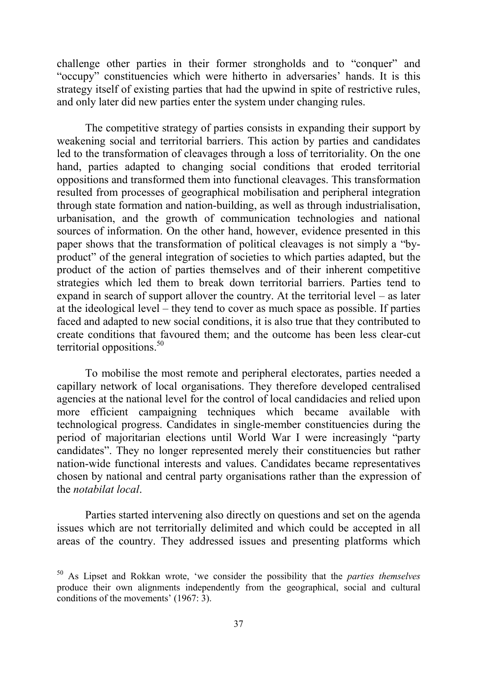challenge other parties in their former strongholds and to "conquer" and "occupy" constituencies which were hitherto in adversaries' hands. It is this strategy itself of existing parties that had the upwind in spite of restrictive rules, and only later did new parties enter the system under changing rules.

The competitive strategy of parties consists in expanding their support by weakening social and territorial barriers. This action by parties and candidates led to the transformation of cleavages through a loss of territoriality. On the one hand, parties adapted to changing social conditions that eroded territorial oppositions and transformed them into functional cleavages. This transformation resulted from processes of geographical mobilisation and peripheral integration through state formation and nation-building, as well as through industrialisation, urbanisation, and the growth of communication technologies and national sources of information. On the other hand, however, evidence presented in this paper shows that the transformation of political cleavages is not simply a "byproduct" of the general integration of societies to which parties adapted, but the product of the action of parties themselves and of their inherent competitive strategies which led them to break down territorial barriers. Parties tend to expand in search of support allover the country. At the territorial level – as later at the ideological level – they tend to cover as much space as possible. If parties faced and adapted to new social conditions, it is also true that they contributed to create conditions that favoured them; and the outcome has been less clear-cut territorial oppositions.<sup>50</sup>

To mobilise the most remote and peripheral electorates, parties needed a capillary network of local organisations. They therefore developed centralised agencies at the national level for the control of local candidacies and relied upon more efficient campaigning techniques which became available with technological progress. Candidates in single-member constituencies during the period of majoritarian elections until World War I were increasingly "party candidates". They no longer represented merely their constituencies but rather nation-wide functional interests and values. Candidates became representatives chosen by national and central party organisations rather than the expression of the *notabilat local*.

Parties started intervening also directly on questions and set on the agenda issues which are not territorially delimited and which could be accepted in all areas of the country. They addressed issues and presenting platforms which

<sup>50</sup> As Lipset and Rokkan wrote, 'we consider the possibility that the *parties themselves* produce their own alignments independently from the geographical, social and cultural conditions of the movements' (1967: 3).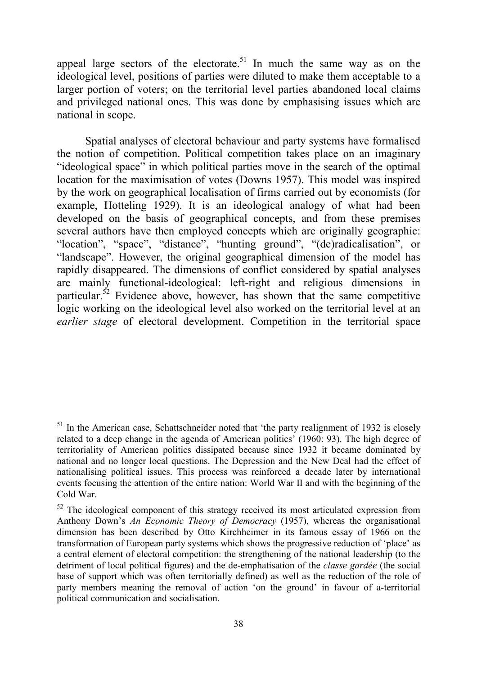appeal large sectors of the electorate.<sup>51</sup> In much the same way as on the ideological level, positions of parties were diluted to make them acceptable to a larger portion of voters; on the territorial level parties abandoned local claims and privileged national ones. This was done by emphasising issues which are national in scope.

Spatial analyses of electoral behaviour and party systems have formalised the notion of competition. Political competition takes place on an imaginary "ideological space" in which political parties move in the search of the optimal location for the maximisation of votes (Downs 1957). This model was inspired by the work on geographical localisation of firms carried out by economists (for example, Hotteling 1929). It is an ideological analogy of what had been developed on the basis of geographical concepts, and from these premises several authors have then employed concepts which are originally geographic: "location", "space", "distance", "hunting ground", "(de)radicalisation", or "landscape". However, the original geographical dimension of the model has rapidly disappeared. The dimensions of conflict considered by spatial analyses are mainly functional-ideological: left-right and religious dimensions in particular. $52$  Evidence above, however, has shown that the same competitive logic working on the ideological level also worked on the territorial level at an *earlier stage* of electoral development. Competition in the territorial space

 $51$  In the American case, Schattschneider noted that 'the party realignment of 1932 is closely related to a deep change in the agenda of American politics' (1960: 93). The high degree of territoriality of American politics dissipated because since 1932 it became dominated by national and no longer local questions. The Depression and the New Deal had the effect of nationalising political issues. This process was reinforced a decade later by international events focusing the attention of the entire nation: World War II and with the beginning of the Cold War.

 $52$  The ideological component of this strategy received its most articulated expression from Anthony Down's *An Economic Theory of Democracy* (1957), whereas the organisational dimension has been described by Otto Kirchheimer in its famous essay of 1966 on the transformation of European party systems which shows the progressive reduction of 'place' as a central element of electoral competition: the strengthening of the national leadership (to the detriment of local political figures) and the de-emphatisation of the *classe gardée* (the social base of support which was often territorially defined) as well as the reduction of the role of party members meaning the removal of action 'on the ground' in favour of a-territorial political communication and socialisation.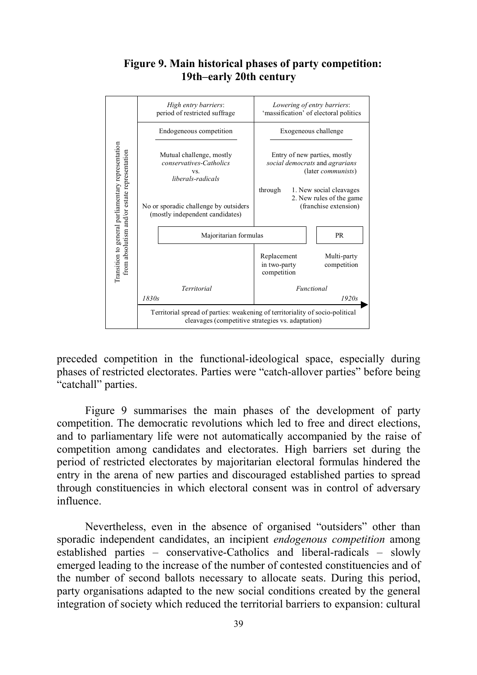## **Figure 9. Main historical phases of party competition: 19th–early 20th century**



preceded competition in the functional-ideological space, especially during phases of restricted electorates. Parties were "catch-allover parties" before being "catchall" parties.

Figure 9 summarises the main phases of the development of party competition. The democratic revolutions which led to free and direct elections, and to parliamentary life were not automatically accompanied by the raise of competition among candidates and electorates. High barriers set during the period of restricted electorates by majoritarian electoral formulas hindered the entry in the arena of new parties and discouraged established parties to spread through constituencies in which electoral consent was in control of adversary influence.

Nevertheless, even in the absence of organised "outsiders" other than sporadic independent candidates, an incipient *endogenous competition* among established parties – conservative-Catholics and liberal-radicals – slowly emerged leading to the increase of the number of contested constituencies and of the number of second ballots necessary to allocate seats. During this period, party organisations adapted to the new social conditions created by the general integration of society which reduced the territorial barriers to expansion: cultural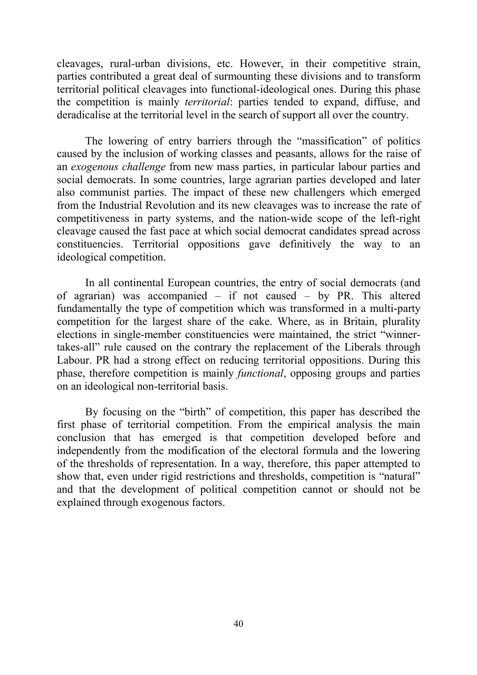cleavages, rural-urban divisions, etc. However, in their competitive strain, parties contributed a great deal of surmounting these divisions and to transform territorial political cleavages into functional-ideological ones. During this phase the competition is mainly *territorial*: parties tended to expand, diffuse, and deradicalise at the territorial level in the search of support all over the country.

The lowering of entry barriers through the "massification" of politics caused by the inclusion of working classes and peasants, allows for the raise of an *exogenous challenge* from new mass parties, in particular labour parties and social democrats. In some countries, large agrarian parties developed and later also communist parties. The impact of these new challengers which emerged from the Industrial Revolution and its new cleavages was to increase the rate of competitiveness in party systems, and the nation-wide scope of the left-right cleavage caused the fast pace at which social democrat candidates spread across constituencies. Territorial oppositions gave definitively the way to an ideological competition.

In all continental European countries, the entry of social democrats (and of agrarian) was accompanied – if not caused – by PR. This altered fundamentally the type of competition which was transformed in a multi-party competition for the largest share of the cake. Where, as in Britain, plurality elections in single-member constituencies were maintained, the strict "winnertakes-all" rule caused on the contrary the replacement of the Liberals through Labour. PR had a strong effect on reducing territorial oppositions. During this phase, therefore competition is mainly *functional*, opposing groups and parties on an ideological non-territorial basis.

By focusing on the "birth" of competition, this paper has described the first phase of territorial competition. From the empirical analysis the main conclusion that has emerged is that competition developed before and independently from the modification of the electoral formula and the lowering of the thresholds of representation. In a way, therefore, this paper attempted to show that, even under rigid restrictions and thresholds, competition is "natural" and that the development of political competition cannot or should not be explained through exogenous factors.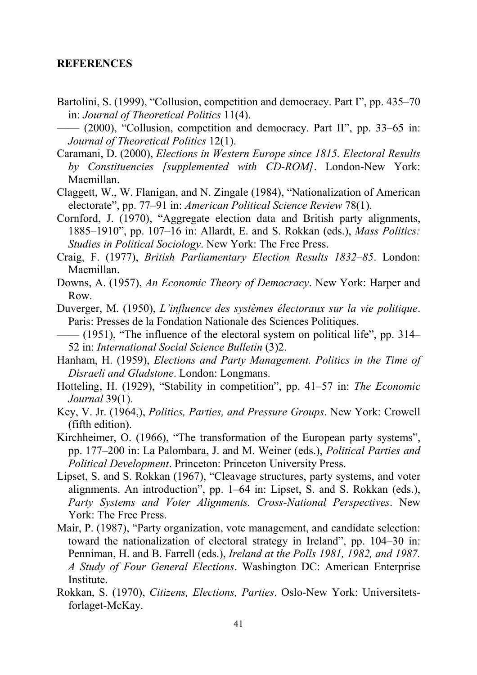## **REFERENCES**

Bartolini, S. (1999), "Collusion, competition and democracy. Part I", pp. 435–70 in: *Journal of Theoretical Politics* 11(4).

- Caramani, D. (2000), *Elections in Western Europe since 1815. Electoral Results by Constituencies [supplemented with CD-ROM]*. London-New York: Macmillan.
- Claggett, W., W. Flanigan, and N. Zingale (1984), "Nationalization of American electorate", pp. 77–91 in: *American Political Science Review* 78(1).
- Cornford, J. (1970), "Aggregate election data and British party alignments, 1885–1910", pp. 107–16 in: Allardt, E. and S. Rokkan (eds.), *Mass Politics: Studies in Political Sociology*. New York: The Free Press.
- Craig, F. (1977), *British Parliamentary Election Results 1832–85*. London: Macmillan.
- Downs, A. (1957), *An Economic Theory of Democracy*. New York: Harper and Row.
- Duverger, M. (1950), *L'influence des systèmes électoraux sur la vie politique*. Paris: Presses de la Fondation Nationale des Sciences Politiques.
- —— (1951), "The influence of the electoral system on political life", pp. 314– 52 in: *International Social Science Bulletin* (3)2.
- Hanham, H. (1959), *Elections and Party Management. Politics in the Time of Disraeli and Gladstone*. London: Longmans.
- Hotteling, H. (1929), "Stability in competition", pp. 41–57 in: *The Economic Journal* 39(1).
- Key, V. Jr. (1964,), *Politics, Parties, and Pressure Groups*. New York: Crowell (fifth edition).
- Kirchheimer, O. (1966), "The transformation of the European party systems", pp. 177–200 in: La Palombara, J. and M. Weiner (eds.), *Political Parties and Political Development*. Princeton: Princeton University Press.
- Lipset, S. and S. Rokkan (1967), "Cleavage structures, party systems, and voter alignments. An introduction", pp. 1–64 in: Lipset, S. and S. Rokkan (eds.), *Party Systems and Voter Alignments. Cross-National Perspectives*. New York: The Free Press.
- Mair, P. (1987), "Party organization, vote management, and candidate selection: toward the nationalization of electoral strategy in Ireland", pp. 104–30 in: Penniman, H. and B. Farrell (eds.), *Ireland at the Polls 1981, 1982, and 1987. A Study of Four General Elections*. Washington DC: American Enterprise Institute.
- Rokkan, S. (1970), *Citizens, Elections, Parties*. Oslo-New York: Universitetsforlaget-McKay.

<sup>—— (2000), &</sup>quot;Collusion, competition and democracy. Part II", pp. 33–65 in: *Journal of Theoretical Politics* 12(1).